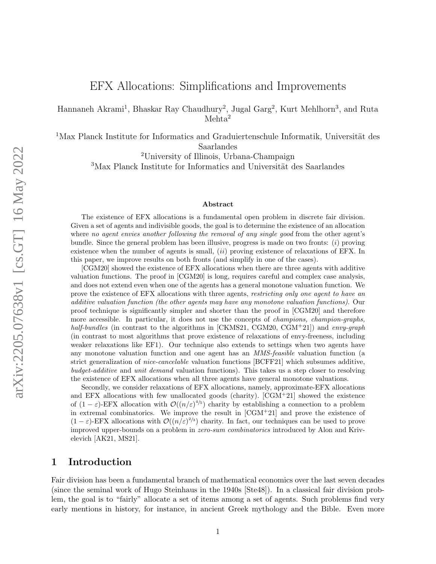# EFX Allocations: Simplifications and Improvements

Hannaneh Akrami<sup>1</sup>, Bhaskar Ray Chaudhury<sup>2</sup>, Jugal Garg<sup>2</sup>, Kurt Mehlhorn<sup>3</sup>, and Ruta Mehta<sup>2</sup>

 $1$ Max Planck Institute for Informatics and Graduiertenschule Informatik, Universität des Saarlandes

<sup>2</sup>University of Illinois, Urbana-Champaign

 $3$ Max Planck Institute for Informatics and Universität des Saarlandes

#### Abstract

The existence of EFX allocations is a fundamental open problem in discrete fair division. Given a set of agents and indivisible goods, the goal is to determine the existence of an allocation where no agent envies another following the removal of any single good from the other agent's bundle. Since the general problem has been illusive, progress is made on two fronts: (i) proving existence when the number of agents is small,  $(ii)$  proving existence of relaxations of EFX. In this paper, we improve results on both fronts (and simplify in one of the cases).

[\[CGM20\]](#page-20-0) showed the existence of EFX allocations when there are three agents with additive valuation functions. The proof in [\[CGM20\]](#page-20-0) is long, requires careful and complex case analysis, and does not extend even when one of the agents has a general monotone valuation function. We prove the existence of EFX allocations with three agents, restricting only one agent to have an additive valuation function (the other agents may have any monotone valuation functions). Our proof technique is significantly simpler and shorter than the proof in [\[CGM20\]](#page-20-0) and therefore more accessible. In particular, it does not use the concepts of *champions*, *champion-graphs*, half-bundles (in contrast to the algorithms in [\[CKMS21,](#page-21-0) [CGM20,](#page-20-0) [CGM](#page-20-1)<sup>+</sup>21]) and envy-graph (in contrast to most algorithms that prove existence of relaxations of envy-freeness, including weaker relaxations like EF1). Our technique also extends to settings when two agents have any monotone valuation function and one agent has an MMS-feasible valuation function (a strict generalization of nice-cancelable valuation functions [\[BCFF21\]](#page-20-2) which subsumes additive, budget-additive and unit demand valuation functions). This takes us a step closer to resolving the existence of EFX allocations when all three agents have general monotone valuations.

Secondly, we consider relaxations of EFX allocations, namely, approximate-EFX allocations and EFX allocations with few unallocated goods (charity).  $[CGM+21]$  $[CGM+21]$  showed the existence of  $(1 - \varepsilon)$ -EFX allocation with  $\mathcal{O}((n/\varepsilon)^{4/5})$  charity by establishing a connection to a problem in extremal combinatorics. We improve the result in  $[CGM+21]$  $[CGM+21]$  and prove the existence of  $(1 - \varepsilon)$ -EFX allocations with  $\mathcal{O}((n/\varepsilon)^{2/3})$  charity. In fact, our techniques can be used to prove improved upper-bounds on a problem in zero-sum combinatorics introduced by Alon and Krivelevich [\[AK21,](#page-19-0) [MS21\]](#page-21-1).

### 1 Introduction

Fair division has been a fundamental branch of mathematical economics over the last seven decades (since the seminal work of Hugo Steinhaus in the 1940s [\[Ste48\]](#page-22-0)). In a classical fair division problem, the goal is to "fairly" allocate a set of items among a set of agents. Such problems find very early mentions in history, for instance, in ancient Greek mythology and the Bible. Even more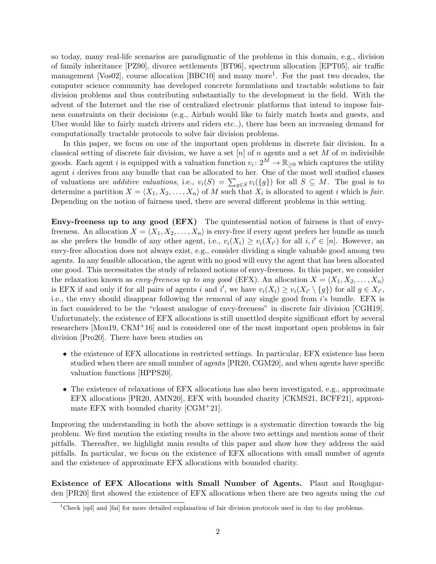so today, many real-life scenarios are paradigmatic of the problems in this domain, e.g., division of family inheritance [\[PZ90\]](#page-21-2), divorce settlements [\[BT96\]](#page-20-3), spectrum allocation [\[EPT05\]](#page-21-3), air traffic management [\[Vos02\]](#page-22-1), course allocation [\[BBC10\]](#page-20-4) and many more<sup>[1](#page-1-0)</sup>. For the past two decades, the computer science community has developed concrete formulations and tractable solutions to fair division problems and thus contributing substantially to the development in the field. With the advent of the Internet and the rise of centralized electronic platforms that intend to impose fairness constraints on their decisions (e.g., Airbnb would like to fairly match hosts and guests, and Uber would like to fairly match drivers and riders etc..), there has been an increasing demand for computationally tractable protocols to solve fair division problems.

In this paper, we focus on one of the important open problems in discrete fair division. In a classical setting of discrete fair division, we have a set  $[n]$  of n agents and a set M of m indivisible goods. Each agent i is equipped with a valuation function  $v_i: 2^M \to \mathbb{R}_{\geq 0}$  which captures the utility agent  $i$  derives from any bundle that can be allocated to her. One of the most well studied classes of valuations are *additive valuations*, i.e.,  $v_i(S) = \sum_{g \in S} v_i(\lbrace g \rbrace)$  for all  $S \subseteq M$ . The goal is to determine a partition  $X = \langle X_1, X_2, \ldots, X_n \rangle$  of M such that  $X_i$  is allocated to agent i which is fair. Depending on the notion of fairness used, there are several different problems in this setting.

Envy-freeness up to any good (EFX) The quintessential notion of fairness is that of envyfreeness. An allocation  $X = \langle X_1, X_2, \ldots, X_n \rangle$  is envy-free if every agent prefers her bundle as much as she prefers the bundle of any other agent, i.e.,  $v_i(X_i) \ge v_i(X_{i'})$  for all  $i, i' \in [n]$ . However, an envy-free allocation does not always exist, e.g., consider dividing a single valuable good among two agents. In any feasible allocation, the agent with no good will envy the agent that has been allocated one good. This necessitates the study of relaxed notions of envy-freeness. In this paper, we consider the relaxation known as envy-freeness up to any good (EFX). An allocation  $X = \langle X_1, X_2, \ldots, X_n \rangle$ is EFX if and only if for all pairs of agents i and i', we have  $v_i(X_i) \ge v_i(X_{i'} \setminus \{g\})$  for all  $g \in X_{i'}$ , i.e., the envy should disappear following the removal of any single good from i's bundle. EFX is in fact considered to be the "closest analogue of envy-freeness" in discrete fair division [\[CGH19\]](#page-20-5). Unfortunately, the existence of EFX allocations is still unsettled despite significant effort by several researchers [\[Mou19,](#page-21-4) [CKM](#page-21-5)+16] and is considered one of the most important open problems in fair division [\[Pro20\]](#page-21-6). There have been studies on

- the existence of EFX allocations in restricted settings. In particular, EFX existence has been studied when there are small number of agents [\[PR20,](#page-21-7) [CGM20\]](#page-20-0), and when agents have specific valuation functions [\[HPPS20\]](#page-21-8).
- The existence of relaxations of EFX allocations has also been investigated, e.g., approximate EFX allocations [\[PR20,](#page-21-7) [AMN20\]](#page-20-6), EFX with bounded charity [\[CKMS21,](#page-21-0) [BCFF21\]](#page-20-2), approximate EFX with bounded charity [\[CGM](#page-20-1)+21].

Improving the understanding in both the above settings is a systematic direction towards the big problem. We first mention the existing results in the above two settings and mention some of their pitfalls. Thereafter, we highlight main results of this paper and show how they address the said pitfalls. In particular, we focus on the existence of EFX allocations with small number of agents and the existence of approximate EFX allocations with bounded charity.

Existence of EFX Allocations with Small Number of Agents. Plaut and Roughgarden [\[PR20\]](#page-21-7) first showed the existence of EFX allocations when there are two agents using the cut

<span id="page-1-0"></span><sup>&</sup>lt;sup>1</sup>Check [\[spl\]](#page-22-2) and [\[fai\]](#page-21-9) for more detailed explanation of fair division protocols used in day to day problems.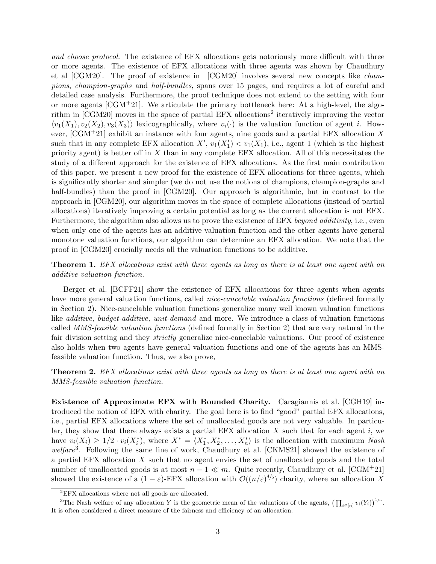and choose protocol. The existence of EFX allocations gets notoriously more difficult with three or more agents. The existence of EFX allocations with three agents was shown by Chaudhury et al [\[CGM20\]](#page-20-0). The proof of existence in [\[CGM20\]](#page-20-0) involves several new concepts like champions, champion-graphs and half-bundles, spans over 15 pages, and requires a lot of careful and detailed case analysis. Furthermore, the proof technique does not extend to the setting with four or more agents  $[CGM<sup>+</sup>21]$  $[CGM<sup>+</sup>21]$ . We articulate the primary bottleneck here: At a high-level, the algo-rithm in [\[CGM20\]](#page-20-0) moves in the space of partial EFX allocations<sup>[2](#page-2-0)</sup> iteratively improving the vector  $\langle v_1(X_1), v_2(X_2), v_3(X_3) \rangle$  lexicographically, where  $v_i(\cdot)$  is the valuation function of agent i. However,  $\text{[CGM+21]}$  $\text{[CGM+21]}$  $\text{[CGM+21]}$  exhibit an instance with four agents, nine goods and a partial EFX allocation X such that in any complete EFX allocation  $X'$ ,  $v_1(X'_1) < v_1(X_1)$ , i.e., agent 1 (which is the highest priority agent) is better off in  $X$  than in any complete EFX allocation. All of this necessitates the study of a different approach for the existence of EFX allocations. As the first main contribution of this paper, we present a new proof for the existence of EFX allocations for three agents, which is significantly shorter and simpler (we do not use the notions of champions, champion-graphs and half-bundles) than the proof in [\[CGM20\]](#page-20-0). Our approach is algorithmic, but in contrast to the approach in [\[CGM20\]](#page-20-0), our algorithm moves in the space of complete allocations (instead of partial allocations) iteratively improving a certain potential as long as the current allocation is not EFX. Furthermore, the algorithm also allows us to prove the existence of EFX beyond additivity, i.e., even when only one of the agents has an additive valuation function and the other agents have general monotone valuation functions, our algorithm can determine an EFX allocation. We note that the proof in [\[CGM20\]](#page-20-0) crucially needs all the valuation functions to be additive.

**Theorem 1.** EFX allocations exist with three agents as long as there is at least one agent with an additive valuation function.

Berger et al. [\[BCFF21\]](#page-20-2) show the existence of EFX allocations for three agents when agents have more general valuation functions, called *nice-cancelable valuation functions* (defined formally in Section [2\)](#page-4-0). Nice-cancelable valuation functions generalize many well known valuation functions like additive, budget-additive, unit-demand and more. We introduce a class of valuation functions called MMS-feasible valuation functions (defined formally in Section [2\)](#page-4-0) that are very natural in the fair division setting and they *strictly* generalize nice-cancelable valuations. Our proof of existence also holds when two agents have general valuation functions and one of the agents has an MMSfeasible valuation function. Thus, we also prove,

**Theorem 2.** EFX allocations exist with three agents as long as there is at least one agent with an MMS-feasible valuation function.

Existence of Approximate EFX with Bounded Charity. Caragiannis et al. [\[CGH19\]](#page-20-5) introduced the notion of EFX with charity. The goal here is to find "good" partial EFX allocations, i.e., partial EFX allocations where the set of unallocated goods are not very valuable. In particular, they show that there always exists a partial EFX allocation  $X$  such that for each agent  $i$ , we have  $v_i(X_i) \geq 1/2 \cdot v_i(X_i^*)$ , where  $X^* = \langle X_1^*, X_2^*, \ldots, X_n^* \rangle$  is the allocation with maximum Nash welfare<sup>[3](#page-2-1)</sup>. Following the same line of work, Chaudhury et al. [\[CKMS21\]](#page-21-0) showed the existence of a partial EFX allocation  $X$  such that no agent envies the set of unallocated goods and the total number of unallocated goods is at most  $n - 1 \ll m$ . Quite recently, Chaudhury et al. [\[CGM](#page-20-1)+21] showed the existence of a  $(1 - \varepsilon)$ -EFX allocation with  $\mathcal{O}((n/\varepsilon)^{4/5})$  charity, where an allocation X

<span id="page-2-1"></span><span id="page-2-0"></span><sup>2</sup>EFX allocations where not all goods are allocated.

<sup>&</sup>lt;sup>3</sup>The Nash welfare of any allocation Y is the geometric mean of the valuations of the agents,  $\left(\prod_{i\in[n]} v_i(Y_i)\right)^{1/n}$ . It is often considered a direct measure of the fairness and efficiency of an allocation.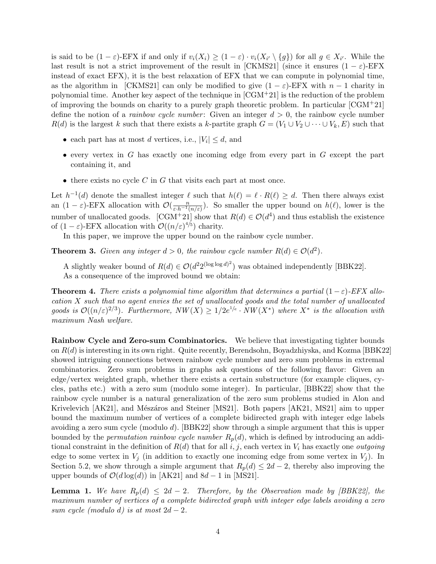is said to be  $(1 - \varepsilon)$ -EFX if and only if  $v_i(X_i) \geq (1 - \varepsilon) \cdot v_i(X_{i'} \setminus \{g\})$  for all  $g \in X_{i'}$ . While the last result is not a strict improvement of the result in [\[CKMS21\]](#page-21-0) (since it ensures  $(1 - \varepsilon)$ -EFX instead of exact EFX), it is the best relaxation of EFX that we can compute in polynomial time, as the algorithm in [\[CKMS21\]](#page-21-0) can only be modified to give  $(1 - \varepsilon)$ -EFX with  $n - 1$  charity in polynomial time. Another key aspect of the technique in  $[CGM<sup>+</sup>21]$  $[CGM<sup>+</sup>21]$  is the reduction of the problem of improving the bounds on charity to a purely graph theoretic problem. In particular  $\text{[CGM+21]}$  $\text{[CGM+21]}$  $\text{[CGM+21]}$ define the notion of a *rainbow cycle number*: Given an integer  $d > 0$ , the rainbow cycle number  $R(d)$  is the largest k such that there exists a k-partite graph  $G = (V_1 \cup V_2 \cup \cdots \cup V_k, E)$  such that

- each part has at most d vertices, i.e.,  $|V_i| \leq d$ , and
- $\bullet$  every vertex in G has exactly one incoming edge from every part in G except the part containing it, and
- $\bullet$  there exists no cycle C in G that visits each part at most once.

Let  $h^{-1}(d)$  denote the smallest integer  $\ell$  such that  $h(\ell) = \ell \cdot R(\ell) \geq d$ . Then there always exist an  $(1 - \varepsilon)$ -EFX allocation with  $\mathcal{O}(\frac{n}{\varepsilon \cdot h^{-1}(n/\varepsilon)})$ . So smaller the upper bound on  $h(\ell)$ , lower is the number of unallocated goods.  $[CGM+21]$  $[CGM+21]$  show that  $R(d) \in \mathcal{O}(d^4)$  and thus establish the existence of  $(1 - \varepsilon)$ -EFX allocation with  $\mathcal{O}((n/\varepsilon)^{4/5})$  charity.

In this paper, we improve the upper bound on the rainbow cycle number.

**Theorem 3.** Given any integer  $d > 0$ , the rainbow cycle number  $R(d) \in \mathcal{O}(d^2)$ .

A slightly weaker bound of  $R(d) \in \mathcal{O}(d^2 2^{(\log \log d)^2})$  was obtained independently [\[BBK22\]](#page-20-7). As a consequence of the improved bound we obtain:

<span id="page-3-0"></span>**Theorem 4.** There exists a polynomial time algorithm that determines a partial  $(1 - \varepsilon)$ -EFX allocation X such that no agent envies the set of unallocated goods and the total number of unallocated goods is  $\mathcal{O}((n/\varepsilon)^{2/3})$ . Furthermore,  $NW(X) \geq 1/2e^{1/\varepsilon} \cdot NW(X^*)$  where  $X^*$  is the allocation with maximum Nash welfare.

Rainbow Cycle and Zero-sum Combinatorics. We believe that investigating tighter bounds on R(d) is interesting in its own right. Quite recently, Berendsohn, Boyadzhiyska, and Kozma [\[BBK22\]](#page-20-7) showed intriguing connections between rainbow cycle number and zero sum problems in extremal combinatorics. Zero sum problems in graphs ask questions of the following flavor: Given an edge/vertex weighted graph, whether there exists a certain substructure (for example cliques, cycles, paths etc.) with a zero sum (modulo some integer). In particular, [\[BBK22\]](#page-20-7) show that the rainbow cycle number is a natural generalization of the zero sum problems studied in Alon and Krivelevich  $[AK21]$ , and Mészáros and Steiner  $[MS21]$ . Both papers  $[AK21, MS21]$  $[AK21, MS21]$  $[AK21, MS21]$  aim to upper bound the maximum number of vertices of a complete bidirected graph with integer edge labels avoiding a zero sum cycle (modulo d). [\[BBK22\]](#page-20-7) show through a simple argument that this is upper bounded by the *permutation rainbow cycle number*  $R_p(d)$ , which is defined by introducing an additional constraint in the definition of  $R(d)$  that for all i, j, each vertex in  $V_i$  has exactly one *outgoing* edge to some vertex in  $V_i$  (in addition to exactly one incoming edge from some vertex in  $V_i$ ). In Section [5.2,](#page-17-0) we show through a simple argument that  $R_p(d) \leq 2d-2$ , thereby also improving the upper bounds of  $\mathcal{O}(d \log(d))$  in [\[AK21\]](#page-19-0) and  $8d - 1$  in [\[MS21\]](#page-21-1).

**Lemma 1.** We have  $R_p(d) \leq 2d - 2$ . Therefore, by the Observation made by [\[BBK22\]](#page-20-7), the maximum number of vertices of a complete bidirected graph with integer edge labels avoiding a zero sum cycle (modulo d) is at most  $2d-2$ .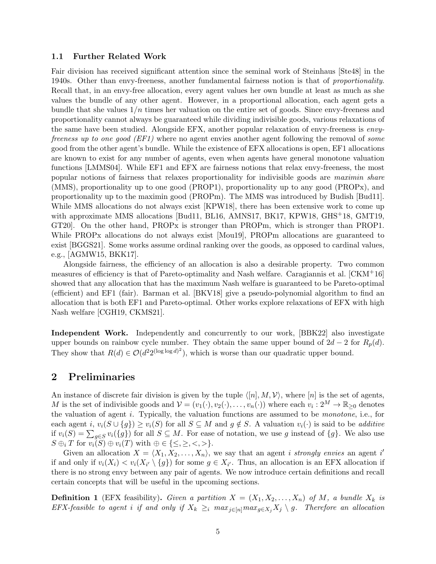#### 1.1 Further Related Work

Fair division has received significant attention since the seminal work of Steinhaus [\[Ste48\]](#page-22-0) in the 1940s. Other than envy-freeness, another fundamental fairness notion is that of proportionality. Recall that, in an envy-free allocation, every agent values her own bundle at least as much as she values the bundle of any other agent. However, in a proportional allocation, each agent gets a bundle that she values  $1/n$  times her valuation on the entire set of goods. Since envy-freeness and proportionality cannot always be guaranteed while dividing indivisible goods, various relaxations of the same have been studied. Alongside EFX, another popular relaxation of envy-freeness is envyfreeness up to one good (EF1) where no agent envies another agent following the removal of some good from the other agent's bundle. While the existence of EFX allocations is open, EF1 allocations are known to exist for any number of agents, even when agents have general monotone valuation functions [\[LMMS04\]](#page-21-10). While EF1 and EFX are fairness notions that relax envy-freeness, the most popular notions of fairness that relaxes proportionality for indivisible goods are maximin share (MMS), proportionality up to one good (PROP1), proportionality up to any good (PROPx), and proportionality up to the maximin good (PROPm). The MMS was introduced by Budish [\[Bud11\]](#page-20-8). While MMS allocations do not always exist [\[KPW18\]](#page-21-11), there has been extensive work to come up with approximate MMS allocations [\[Bud11,](#page-20-8) [BL16,](#page-20-9) [AMNS17,](#page-20-10) [BK17,](#page-20-11) [KPW18,](#page-21-11) [GHS](#page-21-12)<sup>+</sup>18, [GMT19,](#page-21-13) [GT20\]](#page-21-14). On the other hand, PROPx is stronger than PROPm, which is stronger than PROP1. While PROPx allocations do not always exist [\[Mou19\]](#page-21-4), PROPm allocations are guaranteed to exist [\[BGGS21\]](#page-20-12). Some works assume ordinal ranking over the goods, as opposed to cardinal values, e.g., [\[AGMW15,](#page-19-1) [BKK17\]](#page-20-13).

Alongside fairness, the efficiency of an allocation is also a desirable property. Two common measures of efficiency is that of Pareto-optimality and Nash welfare. Caragiannis et al. [\[CKM](#page-21-5)+16] showed that any allocation that has the maximum Nash welfare is guaranteed to be Pareto-optimal (efficient) and EF1 (fair). Barman et al. [\[BKV18\]](#page-20-14) give a pseudo-polynomial algorithm to find an allocation that is both EF1 and Pareto-optimal. Other works explore relaxations of EFX with high Nash welfare [\[CGH19,](#page-20-5) [CKMS21\]](#page-21-0).

Independent Work. Independently and concurrently to our work, [\[BBK22\]](#page-20-7) also investigate upper bounds on rainbow cycle number. They obtain the same upper bound of  $2d - 2$  for  $R_p(d)$ . They show that  $R(d) \in \mathcal{O}(d^2 2^{(\log \log d)^2})$ , which is worse than our quadratic upper bound.

# <span id="page-4-0"></span>2 Preliminaries

An instance of discrete fair division is given by the tuple  $\langle [n], M, V \rangle$ , where  $[n]$  is the set of agents, M is the set of indivisible goods and  $\mathcal{V} = (v_1(\cdot), v_2(\cdot), \dots, v_n(\cdot))$  where each  $v_i : 2^M \to \mathbb{R}_{\geq 0}$  denotes the valuation of agent i. Typically, the valuation functions are assumed to be monotone, i.e., for each agent i,  $v_i(S \cup \{q\}) \ge v_i(S)$  for all  $S \subseteq M$  and  $q \notin S$ . A valuation  $v_i(\cdot)$  is said to be *additive* if  $v_i(S) = \sum_{g \in S} v_i(\{g\})$  for all  $S \subseteq M$ . For ease of notation, we use g instead of  $\{g\}$ . We also use  $S \oplus_i T$  for  $v_i(S) \oplus v_i(T)$  with  $\oplus \in \{\leq, \geq, \lt, \gt\}.$ 

Given an allocation  $X = \langle X_1, X_2, \ldots, X_n \rangle$ , we say that an agent *i strongly envies* an agent i' if and only if  $v_i(X_i) < v_i(X_{i'} \setminus \{g\})$  for some  $g \in X_{i'}$ . Thus, an allocation is an EFX allocation if there is no strong envy between any pair of agents. We now introduce certain definitions and recall certain concepts that will be useful in the upcoming sections.

**Definition 1** (EFX feasibility). Given a partition  $X = (X_1, X_2, \ldots, X_n)$  of M, a bundle  $X_k$  is EFX-feasible to agent i if and only if  $X_k \geq_i max_{j\in[n]} max_{g\in X_j} X_j \setminus g$ . Therefore an allocation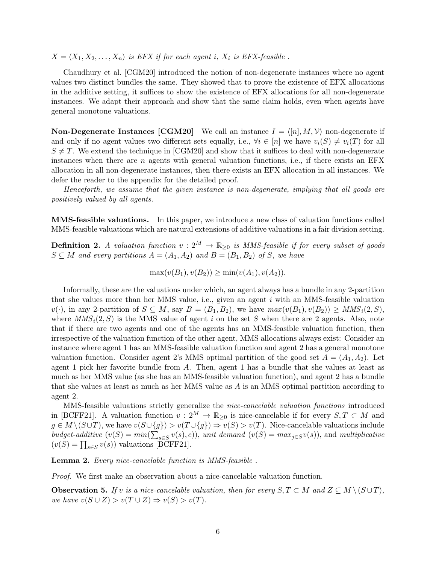$X = \langle X_1, X_2, \ldots, X_n \rangle$  is EFX if for each agent i,  $X_i$  is EFX-feasible.

Chaudhury et al. [\[CGM20\]](#page-20-0) introduced the notion of non-degenerate instances where no agent values two distinct bundles the same. They showed that to prove the existence of EFX allocations in the additive setting, it suffices to show the existence of EFX allocations for all non-degenerate instances. We adapt their approach and show that the same claim holds, even when agents have general monotone valuations.

**Non-Degenerate Instances [\[CGM20\]](#page-20-0)** We call an instance  $I = \langle [n], M, V \rangle$  non-degenerate if and only if no agent values two different sets equally, i.e.,  $\forall i \in [n]$  we have  $v_i(S) \neq v_i(T)$  for all  $S \neq T$ . We extend the technique in [\[CGM20\]](#page-20-0) and show that it suffices to deal with non-degenerate instances when there are  $n$  agents with general valuation functions, i.e., if there exists an  $EFX$ allocation in all non-degenerate instances, then there exists an EFX allocation in all instances. We defer the reader to the appendix for the detailed proof.

Henceforth, we assume that the given instance is non-degenerate, implying that all goods are positively valued by all agents.

MMS-feasible valuations. In this paper, we introduce a new class of valuation functions called MMS-feasible valuations which are natural extensions of additive valuations in a fair division setting.

**Definition 2.** A valuation function  $v: 2^M \to \mathbb{R}_{\geq 0}$  is MMS-feasible if for every subset of goods  $S \subseteq M$  and every partitions  $A = (A_1, A_2)$  and  $B = (B_1, B_2)$  of S, we have

 $\max(v(B_1), v(B_2)) > \min(v(A_1), v(A_2)).$ 

Informally, these are the valuations under which, an agent always has a bundle in any 2-partition that she values more than her MMS value, i.e., given an agent  $i$  with an MMS-feasible valuation  $v(\cdot)$ , in any 2-partition of  $S \subseteq M$ , say  $B = (B_1, B_2)$ , we have  $max(v(B_1), v(B_2)) \geq MMS_i(2, S)$ , where  $MMS_i(2, S)$  is the MMS value of agent i on the set S when there are 2 agents. Also, note that if there are two agents and one of the agents has an MMS-feasible valuation function, then irrespective of the valuation function of the other agent, MMS allocations always exist: Consider an instance where agent 1 has an MMS-feasible valuation function and agent 2 has a general monotone valuation function. Consider agent 2's MMS optimal partition of the good set  $A = (A_1, A_2)$ . Let agent 1 pick her favorite bundle from A. Then, agent 1 has a bundle that she values at least as much as her MMS value (as she has an MMS-feasible valuation function), and agent 2 has a bundle that she values at least as much as her MMS value as A is an MMS optimal partition according to agent 2.

MMS-feasible valuations strictly generalize the nice-cancelable valuation functions introduced in [\[BCFF21\]](#page-20-2). A valuation function  $v: 2^M \to \mathbb{R}_{\geq 0}$  is nice-cancelable if for every  $S, T \subset M$  and  $g \in M \setminus (S \cup T)$ , we have  $v(S \cup \{g\}) > v(T \cup \{g\}) \Rightarrow v(S) > v(T)$ . Nice-cancelable valuations include budget-additive  $(v(S) = min(\sum_{s \in S} v(s), c))$ , unit demand  $(v(S) = max_{j \in S} v(s))$ , and multiplicative  $(v(S) = \prod_{s \in S} v(s))$  valuations [\[BCFF21\]](#page-20-2).

<span id="page-5-1"></span>Lemma 2. Every nice-cancelable function is MMS-feasible .

Proof. We first make an observation about a nice-cancelable valuation function.

<span id="page-5-0"></span>**Observation 5.** If v is a nice-cancelable valuation, then for every  $S, T \subset M$  and  $Z \subseteq M \setminus (S \cup T)$ , we have  $v(S \cup Z) > v(T \cup Z) \Rightarrow v(S) > v(T)$ .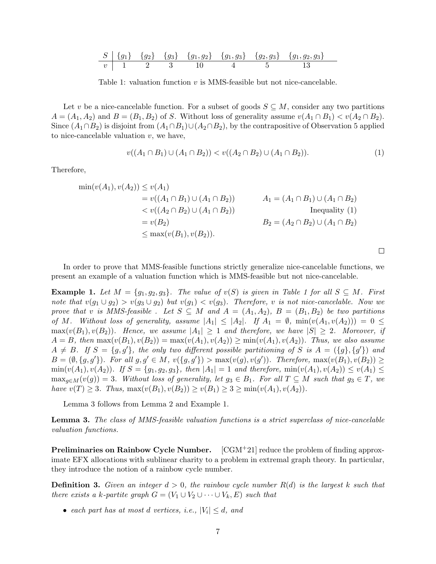<span id="page-6-1"></span>
$$
\begin{array}{c|cccccc} S & \{g_1\} & \{g_2\} & \{g_3\} & \{g_1, g_2\} & \{g_1, g_3\} & \{g_2, g_3\} & \{g_1, g_2, g_3\} \\ \hline v & 1 & 2 & 3 & 10 & 4 & 5 & 13 \\ \end{array}
$$

Table 1: valuation function  $v$  is MMS-feasible but not nice-cancelable.

Let v be a nice-cancelable function. For a subset of goods  $S \subseteq M$ , consider any two partitions  $A = (A_1, A_2)$  and  $B = (B_1, B_2)$  of S. Without loss of generality assume  $v(A_1 \cap B_1) < v(A_2 \cap B_2)$ . Since  $(A_1 \cap B_2)$  is disjoint from  $(A_1 \cap B_1) \cup (A_2 \cap B_2)$ , by the contrapositive of Observation [5](#page-5-0) applied to nice-cancelable valuation  $v$ , we have,

$$
v((A_1 \cap B_1) \cup (A_1 \cap B_2)) < v((A_2 \cap B_2) \cup (A_1 \cap B_2)).\tag{1}
$$

<span id="page-6-0"></span> $\Box$ 

Therefore,

$$
\min(v(A_1), v(A_2)) \le v(A_1) \n= v((A_1 \cap B_1) \cup (A_1 \cap B_2)) \n< v((A_2 \cap B_2) \cup (A_1 \cap B_2)) \n= v(B_2) \n\le max(v(B_1), v(B_2)).
$$
\n
$$
\text{Inequality (1)} \nB_2 = (A_2 \cap B_2) \cup (A_1 \cap B_2) \n(A_1 \cap B_2) \nB_3 = (A_2 \cap B_2) \cup (A_1 \cap B_2)
$$

In order to prove that MMS-feasible functions strictly generalize nice-cancelable functions, we present an example of a valuation function which is MMS-feasible but not nice-cancelable.

<span id="page-6-3"></span>**Example [1](#page-6-1).** Let  $M = \{g_1, g_2, g_3\}$ . The value of  $v(S)$  is given in Table 1 for all  $S \subseteq M$ . First note that  $v(g_1 \cup g_2) > v(g_3 \cup g_2)$  but  $v(g_1) < v(g_3)$ . Therefore, v is not nice-cancelable. Now we prove that v is MMS-feasible. Let  $S \subseteq M$  and  $A = (A_1, A_2), B = (B_1, B_2)$  be two partitions of M. Without loss of generality, assume  $|A_1| \leq |A_2|$ . If  $A_1 = \emptyset$ ,  $\min(v(A_1, v(A_2))) = 0 \leq$  $\max(v(B_1), v(B_2))$ . Hence, we assume  $|A_1| \geq 1$  and therefore, we have  $|S| \geq 2$ . Moreover, if  $A = B$ , then  $\max(v(B_1), v(B_2)) = \max(v(A_1), v(A_2)) \ge \min(v(A_1), v(A_2))$ . Thus, we also assume  $A \neq B$ . If  $S = \{g, g'\}$ , the only two different possible partitioning of S is  $A = \{\{g\}, \{g'\}\}\$ and  $B = (\emptyset, \{g, g'\})$ . For all  $g, g' \in M$ ,  $v(\{g, g'\}) > \max(v(g), v(g'))$ . Therefore,  $\max(v(B_1), v(B_2)) \ge$  $\min(v(A_1), v(A_2))$ . If  $S = \{g_1, g_2, g_3\}$ , then  $|A_1| = 1$  and therefore,  $\min(v(A_1), v(A_2)) \leq v(A_1) \leq$  $\max_{g \in M}(v(g)) = 3$ . Without loss of generality, let  $g_3 \in B_1$ . For all  $T \subseteq M$  such that  $g_3 \in T$ , we have  $v(T) \geq 3$ . Thus,  $\max(v(B_1), v(B_2)) \geq v(B_1) \geq 3 \geq \min(v(A_1), v(A_2)).$ 

Lemma [3](#page-6-2) follows from Lemma [2](#page-5-1) and Example [1.](#page-6-3)

<span id="page-6-2"></span>Lemma 3. The class of MMS-feasible valuation functions is a strict superclass of nice-cancelable valuation functions.

**Preliminaries on Rainbow Cycle Number.**  $[CGM+21]$  $[CGM+21]$  reduce the problem of finding approximate EFX allocations with sublinear charity to a problem in extremal graph theory. In particular, they introduce the notion of a rainbow cycle number.

<span id="page-6-4"></span>**Definition 3.** Given an integer  $d > 0$ , the rainbow cycle number  $R(d)$  is the largest k such that there exists a k-partite graph  $G = (V_1 \cup V_2 \cup \cdots \cup V_k, E)$  such that

• each part has at most d vertices, i.e.,  $|V_i| \leq d$ , and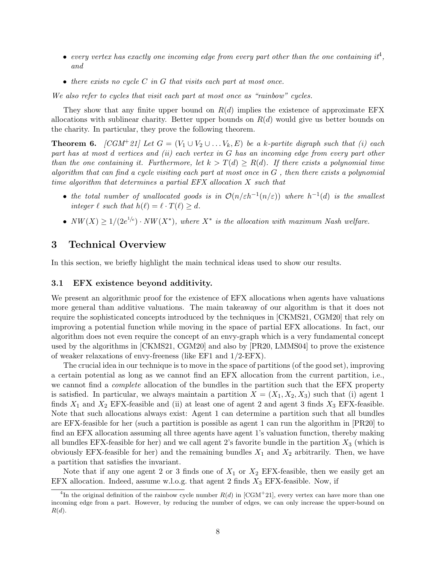- every vertex has exactly one incoming edge from every part other than the one containing it<sup>[4](#page-7-0)</sup>, and
- $\bullet$  there exists no cycle C in G that visits each part at most once.

We also refer to cycles that visit each part at most once as "rainbow" cycles.

They show that any finite upper bound on  $R(d)$  implies the existence of approximate EFX allocations with sublinear charity. Better upper bounds on  $R(d)$  would give us better bounds on the charity. In particular, they prove the following theorem.

<span id="page-7-1"></span>**Theorem 6.** [\[CGM](#page-20-1)<sup>+</sup>21] Let  $G = (V_1 \cup V_2 \cup \ldots V_k, E)$  be a k-partite digraph such that (i) each part has at most  $d$  vertices and (ii) each vertex in  $G$  has an incoming edge from every part other than the one containing it. Furthermore, let  $k > T(d) \ge R(d)$ . If there exists a polynomial time algorithm that can find a cycle visiting each part at most once in  $G$ , then there exists a polynomial time algorithm that determines a partial EFX allocation X such that

- the total number of unallocated goods is in  $\mathcal{O}(n/\varepsilon h^{-1}(n/\varepsilon))$  where  $h^{-1}(d)$  is the smallest integer  $\ell$  such that  $h(\ell) = \ell \cdot T(\ell) \geq d$ .
- $NW(X) \geq 1/(2e^{1/e}) \cdot NW(X^*)$ , where  $X^*$  is the allocation with maximum Nash welfare.

### 3 Technical Overview

In this section, we briefly highlight the main technical ideas used to show our results.

#### 3.1 EFX existence beyond additivity.

We present an algorithmic proof for the existence of EFX allocations when agents have valuations more general than additive valuations. The main takeaway of our algorithm is that it does not require the sophisticated concepts introduced by the techniques in [\[CKMS21,](#page-21-0) [CGM20\]](#page-20-0) that rely on improving a potential function while moving in the space of partial EFX allocations. In fact, our algorithm does not even require the concept of an envy-graph which is a very fundamental concept used by the algorithms in [\[CKMS21,](#page-21-0) [CGM20\]](#page-20-0) and also by [\[PR20,](#page-21-7) [LMMS04\]](#page-21-10) to prove the existence of weaker relaxations of envy-freeness (like EF1 and 1/2-EFX).

The crucial idea in our technique is to move in the space of partitions (of the good set), improving a certain potential as long as we cannot find an EFX allocation from the current partition, i.e., we cannot find a *complete* allocation of the bundles in the partition such that the EFX property is satisfied. In particular, we always maintain a partition  $X = (X_1, X_2, X_3)$  such that (i) agent 1 finds  $X_1$  and  $X_2$  EFX-feasible and (ii) at least one of agent 2 and agent 3 finds  $X_3$  EFX-feasible. Note that such allocations always exist: Agent 1 can determine a partition such that all bundles are EFX-feasible for her (such a partition is possible as agent 1 can run the algorithm in [\[PR20\]](#page-21-7) to find an EFX allocation assuming all three agents have agent 1's valuation function, thereby making all bundles EFX-feasible for her) and we call agent 2's favorite bundle in the partition  $X_3$  (which is obviously EFX-feasible for her) and the remaining bundles  $X_1$  and  $X_2$  arbitrarily. Then, we have a partition that satisfies the invariant.

Note that if any one agent 2 or 3 finds one of  $X_1$  or  $X_2$  EFX-feasible, then we easily get an EFX allocation. Indeed, assume w.l.o.g. that agent 2 finds  $X_3$  EFX-feasible. Now, if

<span id="page-7-0"></span><sup>&</sup>lt;sup>4</sup>In the original definition of the rainbow cycle number  $R(d)$  in [\[CGM](#page-20-1)<sup>+</sup>21], every vertex can have more than one incoming edge from a part. However, by reducing the number of edges, we can only increase the upper-bound on  $R(d).$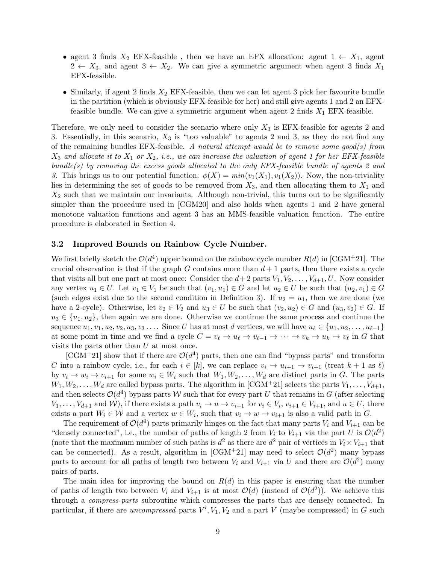- agent 3 finds  $X_2$  EFX-feasible, then we have an EFX allocation: agent  $1 \leftarrow X_1$ , agent  $2 \leftarrow X_3$ , and agent  $3 \leftarrow X_2$ . We can give a symmetric argument when agent 3 finds  $X_1$ EFX-feasible.
- Similarly, if agent 2 finds  $X_2$  EFX-feasible, then we can let agent 3 pick her favourite bundle in the partition (which is obviously EFX-feasible for her) and still give agents 1 and 2 an EFXfeasible bundle. We can give a symmetric argument when agent 2 finds  $X_1$  EFX-feasible.

Therefore, we only need to consider the scenario where only  $X_3$  is EFX-feasible for agents 2 and 3. Essentially, in this scenario,  $X_3$  is "too valuable" to agents 2 and 3, as they do not find any of the remaining bundles EFX-feasible. A natural attempt would be to remove some good(s) from  $X_3$  and allocate it to  $X_1$  or  $X_2$ , i.e., we can increase the valuation of agent 1 for her EFX-feasible bundle(s) by removing the excess goods allocated to the only  $EFX$ -feasible bundle of agents 2 and 3. This brings us to our potential function:  $\phi(X) = min(v_1(X_1), v_1(X_2))$ . Now, the non-triviality lies in determining the set of goods to be removed from  $X_3$ , and then allocating them to  $X_1$  and  $X_2$  such that we maintain our invariants. Although non-trivial, this turns out to be significantly simpler than the procedure used in [\[CGM20\]](#page-20-0) and also holds when agents 1 and 2 have general monotone valuation functions and agent 3 has an MMS-feasible valuation function. The entire procedure is elaborated in Section [4.](#page-10-0)

#### 3.2 Improved Bounds on Rainbow Cycle Number.

We first briefly sketch the  $\mathcal{O}(d^4)$  upper bound on the rainbow cycle number  $R(d)$  in [\[CGM](#page-20-1)+21]. The crucial observation is that if the graph G contains more than  $d+1$  parts, then there exists a cycle that visits all but one part at most once: Consider the  $d+2$  parts  $V_1, V_2, \ldots, V_{d+1}, U$ . Now consider any vertex  $u_1 \in U$ . Let  $v_1 \in V_1$  be such that  $(v_1, u_1) \in G$  and let  $u_2 \in U$  be such that  $(u_2, v_1) \in G$ (such edges exist due to the second condition in Definition [3\)](#page-6-4). If  $u_2 = u_1$ , then we are done (we have a 2-cycle). Otherwise, let  $v_2 \in V_2$  and  $u_3 \in U$  be such that  $(v_2, u_2) \in G$  and  $(u_3, v_2) \in G$ . If  $u_3 \in \{u_1, u_2\}$ , then again we are done. Otherwise we continue the same process and continue the sequence  $u_1, v_1, u_2, v_2, u_3, v_3, \ldots$  Since U has at most d vertices, we will have  $u_\ell \in \{u_1, u_2, \ldots, u_{\ell-1}\}\$ at some point in time and we find a cycle  $C = v_{\ell} \to u_{\ell} \to v_{\ell-1} \to \cdots \to v_k \to u_k \to v_{\ell}$  in G that visits the parts other than U at most once.

[\[CGM](#page-20-1)<sup>+</sup>21] show that if there are  $\mathcal{O}(d^4)$  parts, then one can find "bypass parts" and transform C into a rainbow cycle, i.e., for each  $i \in [k]$ , we can replace  $v_i \to u_{i+1} \to v_{i+1}$  (treat  $k+1$  as  $\ell$ ) by  $v_i \to w_i \to v_{i+1}$  for some  $w_i \in W_i$  such that  $W_1, W_2, \ldots, W_d$  are distinct parts in G. The parts  $W_1, W_2, \ldots, W_d$  are called bypass parts. The algorithm in [\[CGM](#page-20-1)+21] selects the parts  $V_1, \ldots, V_{d+1}$ , and then selects  $\mathcal{O}(d^4)$  bypass parts W such that for every part U that remains in G (after selecting  $V_1, \ldots, V_{d+1}$  and W), if there exists a path  $v_i \to u \to v_{i+1}$  for  $v_i \in V_i$ ,  $v_{i+1} \in V_{i+1}$ , and  $u \in U$ , there exists a part  $W_i \in \mathcal{W}$  and a vertex  $w \in W_i$ , such that  $v_i \to w \to v_{i+1}$  is also a valid path in G.

The requirement of  $\mathcal{O}(d^4)$  parts primarily hinges on the fact that many parts  $V_i$  and  $V_{i+1}$  can be "densely connected", i.e., the number of paths of length 2 from  $V_i$  to  $V_{i+1}$  via the part U is  $\mathcal{O}(d^2)$ (note that the maximum number of such paths is  $d^2$  as there are  $d^2$  pair of vertices in  $V_i \times V_{i+1}$  that can be connected). As a result, algorithm in [\[CGM](#page-20-1)<sup>+</sup>21] may need to select  $\mathcal{O}(d^2)$  many bypass parts to account for all paths of length two between  $V_i$  and  $V_{i+1}$  via U and there are  $\mathcal{O}(d^2)$  many pairs of parts.

The main idea for improving the bound on  $R(d)$  in this paper is ensuring that the number of paths of length two between  $V_i$  and  $V_{i+1}$  is at most  $\mathcal{O}(d)$  (instead of  $\mathcal{O}(d^2)$ ). We achieve this through a compress-parts subroutine which compresses the parts that are densely connected. In particular, if there are *uncompressed* parts  $V', V_1, V_2$  and a part V (maybe compressed) in G such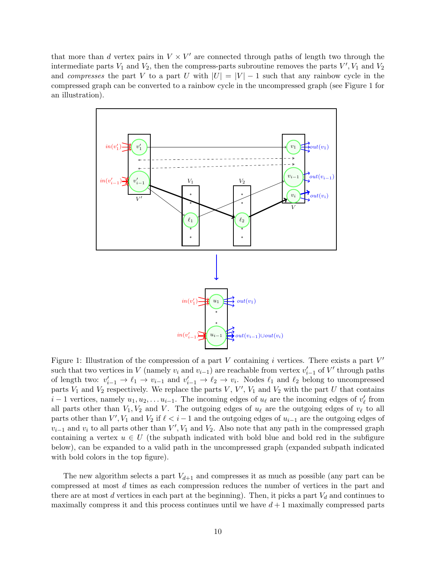that more than d vertex pairs in  $V \times V'$  are connected through paths of length two through the intermediate parts  $V_1$  and  $V_2$ , then the compress-parts subroutine removes the parts  $V', V_1$  and  $V_2$ and compresses the part V to a part U with  $|U| = |V| - 1$  such that any rainbow cycle in the compressed graph can be converted to a rainbow cycle in the uncompressed graph (see Figure [1](#page-9-0) for an illustration).

<span id="page-9-0"></span>

Figure 1: Illustration of the compression of a part  $V$  containing  $i$  vertices. There exists a part  $V'$ such that two vertices in V (namely  $v_i$  and  $v_{i-1}$ ) are reachable from vertex  $v'_{i-1}$  of V' through paths of length two:  $v'_{i-1} \to \ell_1 \to v_{i-1}$  and  $v'_{i-1} \to \ell_2 \to v_i$ . Nodes  $\ell_1$  and  $\ell_2$  belong to uncompressed parts  $V_1$  and  $V_2$  respectively. We replace the parts  $V, V', V_1$  and  $V_2$  with the part U that contains  $i-1$  vertices, namely  $u_1, u_2, \ldots u_{i-1}$ . The incoming edges of  $u_\ell$  are the incoming edges of  $v'_\ell$  from all parts other than  $V_1, V_2$  and V. The outgoing edges of  $u_\ell$  are the outgoing edges of  $v_\ell$  to all parts other than  $V', V_1$  and  $V_2$  if  $\ell < i-1$  and the outgoing edges of  $u_{i-1}$  are the outgoing edges of  $v_{i-1}$  and  $v_i$  to all parts other than  $V', V_1$  and  $V_2$ . Also note that any path in the compressed graph containing a vertex  $u \in U$  (the subpath indicated with bold blue and bold red in the subfigure below), can be expanded to a valid path in the uncompressed graph (expanded subpath indicated with bold colors in the top figure).

The new algorithm selects a part  $V_{d+1}$  and compresses it as much as possible (any part can be compressed at most d times as each compression reduces the number of vertices in the part and there are at most  $d$  vertices in each part at the beginning). Then, it picks a part  $V_d$  and continues to maximally compress it and this process continues until we have  $d+1$  maximally compressed parts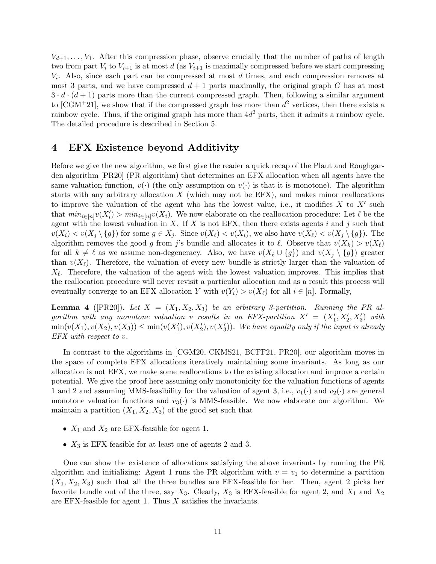$V_{d+1}, \ldots, V_1$ . After this compression phase, observe crucially that the number of paths of length two from part  $V_i$  to  $V_{i+1}$  is at most d (as  $V_{i+1}$  is maximally compressed before we start compressing  $V_i$ . Also, since each part can be compressed at most  $d$  times, and each compression removes at most 3 parts, and we have compressed  $d + 1$  parts maximally, the original graph G has at most  $3 \cdot d \cdot (d+1)$  parts more than the current compressed graph. Then, following a similar argument to [\[CGM](#page-20-1)<sup>+</sup>21], we show that if the compressed graph has more than  $d^2$  vertices, then there exists a rainbow cycle. Thus, if the original graph has more than  $4d^2$  parts, then it admits a rainbow cycle. The detailed procedure is described in Section [5.](#page-13-0)

### <span id="page-10-0"></span>4 EFX Existence beyond Additivity

Before we give the new algorithm, we first give the reader a quick recap of the Plaut and Roughgarden algorithm [\[PR20\]](#page-21-7) (PR algorithm) that determines an EFX allocation when all agents have the same valuation function,  $v(\cdot)$  (the only assumption on  $v(\cdot)$  is that it is monotone). The algorithm starts with any arbitrary allocation  $X$  (which may not be  $EFX$ ), and makes minor reallocations to improve the valuation of the agent who has the lowest value, i.e., it modifies  $X$  to  $X'$  such that  $min_{i \in [n]} v(X_i') > min_{i \in [n]} v(X_i)$ . We now elaborate on the reallocation procedure: Let  $\ell$  be the agent with the lowest valuation in X. If X is not EFX, then there exists agents i and j such that  $v(X_i) < v(X_j \setminus \{g\})$  for some  $g \in X_j$ . Since  $v(X_{\ell}) < v(X_i)$ , we also have  $v(X_{\ell}) < v(X_j \setminus \{g\})$ . The algorithm removes the good g from j's bundle and allocates it to  $\ell$ . Observe that  $v(X_k) > v(X_\ell)$ for all  $k \neq \ell$  as we assume non-degeneracy. Also, we have  $v(X_{\ell} \cup \{g\})$  and  $v(X_i \setminus \{g\})$  greater than  $v(X_\ell)$ . Therefore, the valuation of every new bundle is strictly larger than the valuation of  $X_{\ell}$ . Therefore, the valuation of the agent with the lowest valuation improves. This implies that the reallocation procedure will never revisit a particular allocation and as a result this process will eventually converge to an EFX allocation Y with  $v(Y_i) > v(X_\ell)$  for all  $i \in [n]$ . Formally,

<span id="page-10-1"></span>**Lemma 4** ( $[PR20]$ ). Let  $X = (X_1, X_2, X_3)$  be an arbitrary 3-partition. Running the PR algorithm with any monotone valuation v results in an EFX-partition  $X' = (X'_1, X'_2, X'_3)$  with  $\min(v(X_1), v(X_2), v(X_3)) \leq \min(v(X'_1), v(X'_2), v(X'_3))$ . We have equality only if the input is already EFX with respect to v.

In contrast to the algorithms in [\[CGM20,](#page-20-0) [CKMS21,](#page-21-0) [BCFF21,](#page-20-2) [PR20\]](#page-21-7), our algorithm moves in the space of complete EFX allocations iteratively maintaining some invariants. As long as our allocation is not EFX, we make some reallocations to the existing allocation and improve a certain potential. We give the proof here assuming only monotonicity for the valuation functions of agents 1 and 2 and assuming MMS-feasibility for the valuation of agent 3, i.e.,  $v_1(\cdot)$  and  $v_2(\cdot)$  are general monotone valuation functions and  $v_3(\cdot)$  is MMS-feasible. We now elaborate our algorithm. We maintain a partition  $(X_1, X_2, X_3)$  of the good set such that

- $X_1$  and  $X_2$  are EFX-feasible for agent 1.
- $X_3$  is EFX-feasible for at least one of agents 2 and 3.

One can show the existence of allocations satisfying the above invariants by running the PR algorithm and initializing: Agent 1 runs the PR algorithm with  $v = v_1$  to determine a partition  $(X_1, X_2, X_3)$  such that all the three bundles are EFX-feasible for her. Then, agent 2 picks her favorite bundle out of the three, say  $X_3$ . Clearly,  $X_3$  is EFX-feasible for agent 2, and  $X_1$  and  $X_2$ are EFX-feasible for agent 1. Thus X satisfies the invariants.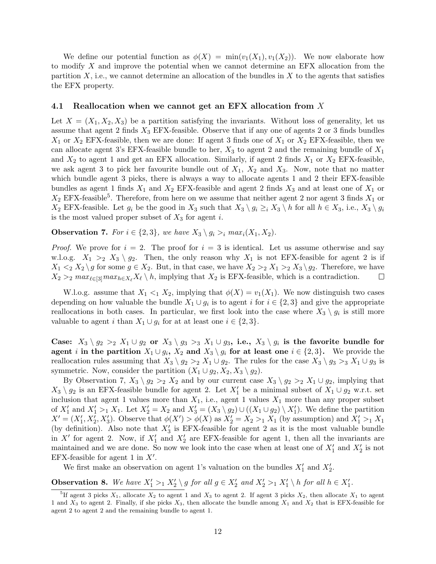We define our potential function as  $\phi(X) = \min(v_1(X_1), v_1(X_2))$ . We now elaborate how to modify X and improve the potential when we cannot determine an EFX allocation from the partition  $X$ , i.e., we cannot determine an allocation of the bundles in  $X$  to the agents that satisfies the EFX property.

#### 4.1 Reallocation when we cannot get an EFX allocation from X

Let  $X = (X_1, X_2, X_3)$  be a partition satisfying the invariants. Without loss of generality, let us assume that agent 2 finds  $X_3$  EFX-feasible. Observe that if any one of agents 2 or 3 finds bundles  $X_1$  or  $X_2$  EFX-feasible, then we are done: If agent 3 finds one of  $X_1$  or  $X_2$  EFX-feasible, then we can allocate agent 3's EFX-feasible bundle to her,  $X_3$  to agent 2 and the remaining bundle of  $X_1$ and  $X_2$  to agent 1 and get an EFX allocation. Similarly, if agent 2 finds  $X_1$  or  $X_2$  EFX-feasible, we ask agent 3 to pick her favourite bundle out of  $X_1$ ,  $X_2$  and  $X_3$ . Now, note that no matter which bundle agent 3 picks, there is always a way to allocate agents 1 and 2 their EFX-feasible bundles as agent 1 finds  $X_1$  and  $X_2$  EFX-feasible and agent 2 finds  $X_3$  and at least one of  $X_1$  or  $X_2$  EFX-feasible<sup>[5](#page-11-0)</sup>. Therefore, from here on we assume that neither agent 2 nor agent 3 finds  $X_1$  or  $X_2$  EFX-feasible. Let  $g_i$  be the good in  $X_3$  such that  $X_3 \setminus g_i \geq_i X_3 \setminus h$  for all  $h \in X_3$ , i.e.,  $X_3 \setminus g_i$ is the most valued proper subset of  $X_3$  for agent i.

<span id="page-11-1"></span>**Observation 7.** For  $i \in \{2,3\}$ , we have  $X_3 \setminus q_i >_i max_i(X_1, X_2)$ .

*Proof.* We prove for  $i = 2$ . The proof for  $i = 3$  is identical. Let us assume otherwise and say w.l.o.g.  $X_1 >_2 X_3 \setminus g_2$ . Then, the only reason why  $X_1$  is not EFX-feasible for agent 2 is if  $X_1 \leq_2 X_2 \setminus g$  for some  $g \in X_2$ . But, in that case, we have  $X_2 >_2 X_1 >_2 X_3 \setminus g_2$ . Therefore, we have  $X_2 >_2 \max_{\ell \in [3]} \max_{h \in X_\ell} X_\ell \setminus h$ , implying that  $X_2$  is EFX-feasible, which is a contradiction.  $\Box$ 

W.l.o.g. assume that  $X_1 \leq_1 X_2$ , implying that  $\phi(X) = v_1(X_1)$ . We now distinguish two cases depending on how valuable the bundle  $X_1 \cup g_i$  is to agent i for  $i \in \{2,3\}$  and give the appropriate reallocations in both cases. In particular, we first look into the case where  $X_3 \setminus g_i$  is still more valuable to agent i than  $X_1 \cup g_i$  for at at least one  $i \in \{2,3\}.$ 

Case:  $X_3 \setminus g_2 >_2 X_1 \cup g_2$  or  $X_3 \setminus g_3 >_3 X_1 \cup g_3$ , i.e.,  $X_3 \setminus g_i$  is the favorite bundle for agent *i* in the partition  $X_1 \cup g_i$ ,  $X_2$  and  $X_3 \setminus g_i$  for at least one  $i \in \{2,3\}$ . We provide the reallocation rules assuming that  $X_3 \setminus g_2 >_2 X_1 \cup g_2$ . The rules for the case  $X_3 \setminus g_3 >_3 X_1 \cup g_3$  is symmetric. Now, consider the partition  $(X_1 \cup g_2, X_2, X_3 \setminus g_2)$ .

By Observation [7,](#page-11-1)  $X_3 \setminus g_2 >_2 X_2$  and by our current case  $X_3 \setminus g_2 >_2 X_1 \cup g_2$ , implying that  $X_3 \setminus g_2$  is an EFX-feasible bundle for agent 2. Let  $X_1'$  be a minimal subset of  $X_1 \cup g_2$  w.r.t. set inclusion that agent 1 values more than  $X_1$ , i.e., agent 1 values  $X_1$  more than any proper subset of  $X'_1$  and  $X'_1 >_1 X_1$ . Let  $X'_2 = X_2$  and  $X'_3 = (X_3 \setminus g_2) \cup ((X_1 \cup g_2) \setminus X'_1)$ . We define the partition  $X' = (X'_1, X'_2, X'_3)$ . Observe that  $\phi(X') > \phi(X)$  as  $X'_2 = X_2 >_1 X_1$  (by assumption) and  $X'_1 >_1 X_1$ (by definition). Also note that  $X_3'$  is EFX-feasible for agent 2 as it is the most valuable bundle in X' for agent 2. Now, if  $X'_1$  and  $X'_2$  are EFX-feasible for agent 1, then all the invariants are maintained and we are done. So now we look into the case when at least one of  $X_1'$  and  $X_2'$  is not EFX-feasible for agent 1 in  $X'$ .

We first make an observation on agent 1's valuation on the bundles  $X'_1$  and  $X'_2$ .

<span id="page-11-2"></span>**Observation 8.** We have  $X'_1 >_1 X'_2 \setminus g$  for all  $g \in X'_2$  and  $X'_2 >_1 X'_1 \setminus h$  for all  $h \in X'_1$ .

<span id="page-11-0"></span><sup>&</sup>lt;sup>5</sup>If agent 3 picks  $X_1$ , allocate  $X_2$  to agent 1 and  $X_3$  to agent 2. If agent 3 picks  $X_2$ , then allocate  $X_1$  to agent 1 and  $X_3$  to agent 2. Finally, if she picks  $X_3$ , then allocate the bundle among  $X_1$  and  $X_2$  that is EFX-feasible for agent 2 to agent 2 and the remaining bundle to agent 1.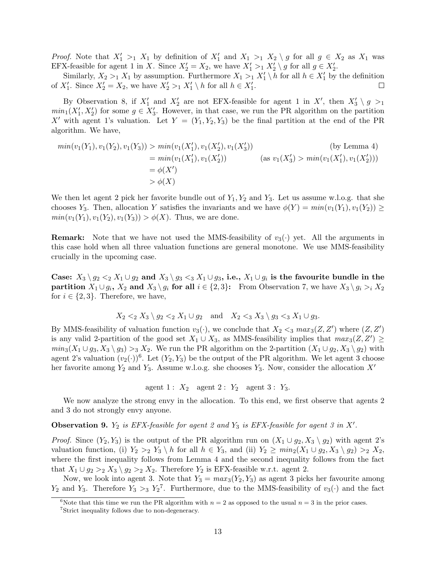*Proof.* Note that  $X'_1 >_1 X_1$  by definition of  $X'_1$  and  $X_1 >_1 X_2 \setminus g$  for all  $g \in X_2$  as  $X_1$  was EFX-feasible for agent 1 in X. Since  $X'_2 = X_2$ , we have  $X'_1 >_1 X'_2 \setminus g$  for all  $g \in X'_2$ .

Similarly,  $X_2 >_1 X_1$  by assumption. Furthermore  $X_1 >_1 X_1' \setminus h$  for all  $h \in X_1'$  by the definition of  $X'_1$ . Since  $X'_2 = X_2$ , we have  $X'_2 >_1 X'_1 \setminus h$  for all  $h \in X'_1$ .  $\Box$ 

By Observation [8,](#page-11-2) if  $X'_1$  and  $X'_2$  are not EFX-feasible for agent 1 in X', then  $X'_3 \setminus g >_1$  $min_1(X'_1, X'_2)$  for some  $g \in X'_3$ . However, in that case, we run the PR algorithm on the partition X' with agent 1's valuation. Let  $Y = (Y_1, Y_2, Y_3)$  be the final partition at the end of the PR algorithm. We have,

$$
min(v_1(Y_1), v_1(Y_2), v_1(Y_3)) > min(v_1(X'_1), v_1(X'_2), v_1(X'_3))
$$
\n
$$
= min(v_1(X'_1), v_1(X'_2))
$$
\n
$$
= \phi(X')
$$
\n
$$
= \phi(X)
$$
\n
$$
= \phi(X)
$$
\n
$$
(as v_1(X'_3) > min(v_1(X'_1), v_1(X'_2)))
$$
\n
$$
= \phi(X)
$$

We then let agent 2 pick her favorite bundle out of  $Y_1, Y_2$  and  $Y_3$ . Let us assume w.l.o.g. that she chooses Y<sub>3</sub>. Then, allocation Y satisfies the invariants and we have  $\phi(Y) = min(v_1(Y_1), v_1(Y_2)) \ge$  $min(v_1(Y_1), v_1(Y_2), v_1(Y_3)) > \phi(X)$ . Thus, we are done.

**Remark:** Note that we have not used the MMS-feasibility of  $v_3(\cdot)$  yet. All the arguments in this case hold when all three valuation functions are general monotone. We use MMS-feasibility crucially in the upcoming case.

Case:  $X_3 \setminus g_2 <_2 X_1 \cup g_2$  and  $X_3 \setminus g_3 <_3 X_1 \cup g_3$ , i.e.,  $X_1 \cup g_i$  is the favourite bundle in the partition  $X_1 \cup g_i$ ,  $X_2$  and  $X_3 \setminus g_i$  for all  $i \in \{2,3\}$ : From Observation [7,](#page-11-1) we have  $X_3 \setminus g_i >_i X_2$ for  $i \in \{2,3\}$ . Therefore, we have,

$$
X_2 <_2 X_3 \setminus g_2 <_2 X_1 \cup g_2 \quad \text{and} \quad X_2 <_3 X_3 \setminus g_3 <_3 X_1 \cup g_3.
$$

By MMS-feasibility of valuation function  $v_3(\cdot)$ , we conclude that  $X_2 \leq_3 max_3(Z, Z')$  where  $(Z, Z')$ is any valid 2-partition of the good set  $X_1 \cup X_3$ , as MMS-feasibility implies that  $max_3(Z, Z') \geq$  $min_3(X_1 \cup g_3, X_3 \setminus g_3) >_3 X_2$ . We run the PR algorithm on the 2-partition  $(X_1 \cup g_2, X_3 \setminus g_2)$  with agent 2's valuation  $(v_2(\cdot))^6$  $(v_2(\cdot))^6$ . Let  $(Y_2, Y_3)$  be the output of the PR algorithm. We let agent 3 choose her favorite among  $Y_2$  and  $Y_3$ . Assume w.l.o.g. she chooses  $Y_3$ . Now, consider the allocation  $X'$ 

agent 1 :  $X_2$  agent 2 :  $Y_2$  agent 3 :  $Y_3$ .

We now analyze the strong envy in the allocation. To this end, we first observe that agents 2 and 3 do not strongly envy anyone.

**Observation 9.**  $Y_2$  is EFX-feasible for agent 2 and  $Y_3$  is EFX-feasible for agent 3 in X'.

*Proof.* Since  $(Y_2, Y_3)$  is the output of the PR algorithm run on  $(X_1 \cup g_2, X_3 \setminus g_2)$  with agent 2's valuation function, (i)  $Y_2 >_2 Y_3 \ h$  for all  $h \in Y_3$ , and (ii)  $Y_2 \geq min_2(X_1 \cup g_2, X_3 \ g_2) >_2 X_2$ , where the first inequality follows from Lemma [4](#page-10-1) and the second inequality follows from the fact that  $X_1 \cup g_2 >_2 X_3 \setminus g_2 >_2 X_2$ . Therefore  $Y_2$  is EFX-feasible w.r.t. agent 2.

Now, we look into agent 3. Note that  $Y_3 = max_3(Y_2, Y_3)$  as agent 3 picks her favourite among  $Y_2$  and  $Y_3$ . Therefore  $Y_3 >_3 Y_2^7$  $Y_3 >_3 Y_2^7$ . Furthermore, due to the MMS-feasibility of  $v_3(\cdot)$  and the fact

<span id="page-12-0"></span><sup>&</sup>lt;sup>6</sup>Note that this time we run the PR algorithm with  $n = 2$  as opposed to the usual  $n = 3$  in the prior cases.

<span id="page-12-1"></span><sup>7</sup>Strict inequality follows due to non-degeneracy.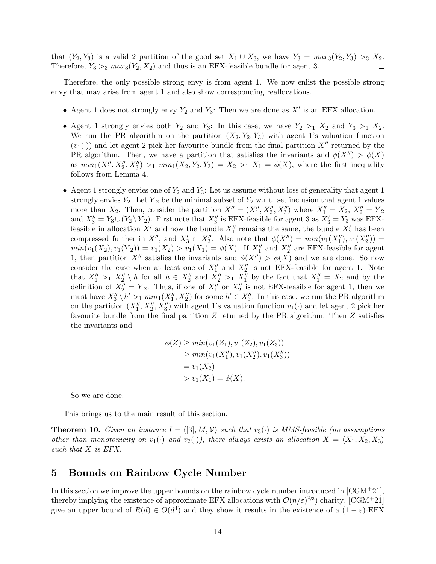that  $(Y_2, Y_3)$  is a valid 2 partition of the good set  $X_1 \cup X_3$ , we have  $Y_3 = \max_3(Y_2, Y_3) >_3 X_2$ . Therefore,  $Y_3 >_3 max_3(Y_2, X_2)$  and thus is an EFX-feasible bundle for agent 3.  $\Box$ 

Therefore, the only possible strong envy is from agent 1. We now enlist the possible strong envy that may arise from agent 1 and also show corresponding reallocations.

- Agent 1 does not strongly envy  $Y_2$  and  $Y_3$ : Then we are done as  $X'$  is an EFX allocation.
- Agent 1 strongly envies both  $Y_2$  and  $Y_3$ : In this case, we have  $Y_2 >_1 X_2$  and  $Y_3 >_1 X_2$ . We run the PR algorithm on the partition  $(X_2, Y_2, Y_3)$  with agent 1's valuation function  $(v_1(\cdot))$  and let agent 2 pick her favourite bundle from the final partition X'' returned by the PR algorithm. Then, we have a partition that satisfies the invariants and  $\phi(X'') > \phi(X)$ as  $min_1(X''_1, X''_2, X''_3) >_1 min_1(X_2, Y_2, Y_3) = X_2 >_1 X_1 = \phi(X)$ , where the first inequality follows from Lemma [4.](#page-10-1)
- Agent 1 strongly envies one of  $Y_2$  and  $Y_3$ : Let us assume without loss of generality that agent 1 strongly envies  $Y_2$ . Let  $\overline{Y}_2$  be the minimal subset of  $Y_2$  w.r.t. set inclusion that agent 1 values more than  $X_2$ . Then, consider the partition  $X'' = (X''_1, X''_2, X''_3)$  where  $X''_1 = X_2, X''_2 = \overline{Y}_2$ and  $X_3'' = Y_3 \cup (Y_2 \setminus \overline{Y}_2)$ . First note that  $X_3''$  is EFX-feasible for agent 3 as  $X_3' = Y_3$  was EFXfeasible in allocation  $X'$  and now the bundle  $X''_1$  remains the same, the bundle  $X'_2$  has been compressed further in  $X''$ , and  $X'_3 \subset X''_3$ . Also note that  $\phi(X'') = min(v_1(X''_1), v_1(X''_2)) =$  $min(v_1(X_2), v_1(\overline{Y}_2)) = v_1(X_2) > v_1(X_1) = \phi(X)$ . If  $X_1''$  and  $X_2''$  are EFX-feasible for agent 1, then partition X<sup>n</sup> satisfies the invariants and  $\phi(X'') > \phi(X)$  and we are done. So now consider the case when at least one of  $X_1''$  and  $X_2''$  is not EFX-feasible for agent 1. Note that  $X_1'' >_1 X_2'' \setminus h$  for all  $h \in X_2''$  and  $X_2'' >_1 X_1''$  by the fact that  $X_1'' = X_2$  and by the definition of  $X_2'' = \overline{Y}_2$ . Thus, if one of  $X_1''$  or  $X_2''$  is not EFX-feasible for agent 1, then we must have  $X_3'' \setminus h' >_1 min_1(X_1'', X_2'')$  for some  $h' \in X_3''$ . In this case, we run the PR algorithm on the partition  $(X_1'', X_2'', X_3'')$  with agent 1's valuation function  $v_1(\cdot)$  and let agent 2 pick her favourite bundle from the final partition Z returned by the PR algorithm. Then Z satisfies the invariants and

$$
\begin{aligned} \phi(Z) &\ge \min(v_1(Z_1), v_1(Z_2), v_1(Z_3)) \\ &\ge \min(v_1(X_1''), v_1(X_2''), v_1(X_3'')) \\ &= v_1(X_2) \\ &> v_1(X_1) = \phi(X). \end{aligned}
$$

So we are done.

This brings us to the main result of this section.

**Theorem 10.** Given an instance  $I = \langle 3, M, V \rangle$  such that  $v_3(\cdot)$  is MMS-feasible (no assumptions other than monotonicity on  $v_1(\cdot)$  and  $v_2(\cdot)$ ), there always exists an allocation  $X = \langle X_1, X_2, X_3 \rangle$ such that X is EFX.

### <span id="page-13-0"></span>5 Bounds on Rainbow Cycle Number

In this section we improve the upper bounds on the rainbow cycle number introduced in  $[CGM^+21]$  $[CGM^+21]$ , thereby implying the existence of approximate EFX allocations with  $\mathcal{O}(n/\varepsilon)^{2/3}$  charity. [\[CGM](#page-20-1)<sup>+</sup>21] give an upper bound of  $R(d) \in O(d^4)$  and they show it results in the existence of a  $(1 - \varepsilon)$ -EFX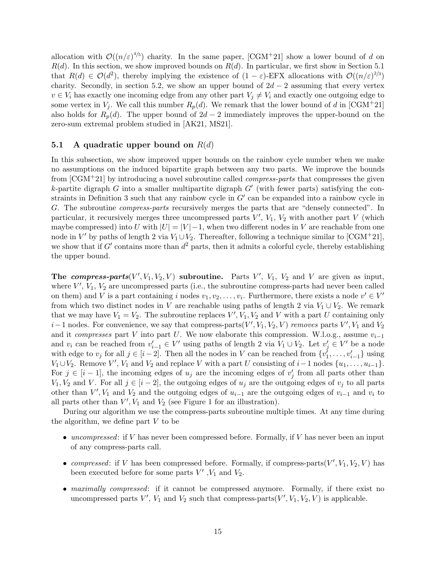allocation with  $\mathcal{O}((n/\varepsilon)^{4/5})$  charity. In the same paper, [\[CGM](#page-20-1)+21] show a lower bound of d on  $R(d)$ . In this section, we show improved bounds on  $R(d)$ . In particular, we first show in Section [5.1](#page-14-0) that  $R(d) \in \mathcal{O}(d^2)$ , thereby implying the existence of  $(1 - \varepsilon)$ -EFX allocations with  $\mathcal{O}((n/\varepsilon)^{2/3})$ charity. Secondly, in section [5.2,](#page-19-2) we show an upper bound of  $2d - 2$  assuming that every vertex  $v \in V_i$  has exactly one incoming edge from any other part  $V_j \neq V_i$  and exactly one outgoing edge to some vertex in  $V_j$ . We call this number  $R_p(d)$ . We remark that the lower bound of d in [\[CGM](#page-20-1)<sup>+</sup>21] also holds for  $R_p(d)$ . The upper bound of  $2d-2$  immediately improves the upper-bound on the zero-sum extremal problem studied in [\[AK21,](#page-19-0) [MS21\]](#page-21-1).

#### <span id="page-14-0"></span>5.1 A quadratic upper bound on  $R(d)$

In this subsection, we show improved upper bounds on the rainbow cycle number when we make no assumptions on the induced bipartite graph between any two parts. We improve the bounds from [\[CGM](#page-20-1)+21] by introducing a novel subroutine called compress-parts that compresses the given k-partite digraph  $G$  into a smaller multipartite digraph  $G'$  (with fewer parts) satisfying the con-straints in Definition [3](#page-6-4) such that any rainbow cycle in  $G'$  can be expanded into a rainbow cycle in G. The subroutine compress-parts recursively merges the parts that are "densely connected". In particular, it recursively merges three uncompressed parts  $V'$ ,  $V_1$ ,  $V_2$  with another part V (which maybe compressed) into U with  $|U| = |V| - 1$ , when two different nodes in V are reachable from one node in V' by paths of length 2 via  $V_1 \cup V_2$ . Thereafter, following a technique similar to [\[CGM](#page-20-1)<sup>+</sup>21], we show that if  $G'$  contains more than  $d^2$  parts, then it admits a colorful cycle, thereby establishing the upper bound.

The compress-parts  $(V', V_1, V_2, V)$  subroutine. Parts  $V', V_1, V_2$  and V are given as input, where  $V'$ ,  $V_1$ ,  $V_2$  are uncompressed parts (i.e., the subroutine compress-parts had never been called on them) and V is a part containing i nodes  $v_1, v_2, \ldots, v_i$ . Furthermore, there exists a node  $v' \in V'$ from which two distinct nodes in V are reachable using paths of length 2 via  $V_1 \cup V_2$ . We remark that we may have  $V_1 = V_2$ . The subroutine replaces  $V', V_1, V_2$  and V with a part U containing only  $i-1$  nodes. For convenience, we say that compress-parts $(V', V_1, V_2, V)$  removes parts  $V', V_1$  and  $V_2$ and it compresses part V into part U. We now elaborate this compression. W.l.o.g., assume  $v_{i-1}$ and  $v_i$  can be reached from  $v'_{i-1} \in V'$  using paths of length 2 via  $V_1 \cup V_2$ . Let  $v'_j \in V'$  be a node with edge to  $v_j$  for all  $j \in [i-2]$ . Then all the nodes in V can be reached from  $\{v_1^j, \ldots, v_{i-1}^j\}$  using  $V_1 \cup V_2$ . Remove  $V'$ ,  $V_1$  and  $V_2$  and replace V with a part U consisting of  $i-1$  nodes  $\{u_1, \ldots, u_{i-1}\}$ . For  $j \in [i-1]$ , the incoming edges of  $u_j$  are the incoming edges of  $v'_j$  from all parts other than  $V_1, V_2$  and V. For all  $j \in [i-2]$ , the outgoing edges of  $u_j$  are the outgoing edges of  $v_j$  to all parts other than  $V'$ ,  $V_1$  and  $V_2$  and the outgoing edges of  $u_{i-1}$  are the outgoing edges of  $v_{i-1}$  and  $v_i$  to all parts other than  $V'$ ,  $V_1$  $V_1$  and  $V_2$  (see Figure 1 for an illustration).

During our algorithm we use the compress-parts subroutine multiple times. At any time during the algorithm, we define part  $V$  to be

- uncompressed: if V has never been compressed before. Formally, if V has never been an input of any compress-parts call.
- compressed: if V has been compressed before. Formally, if compress-parts $(V', V_1, V_2, V)$  has been executed before for some parts  $V'$ ,  $V_1$  and  $V_2$ .
- maximally compressed: if it cannot be compressed anymore. Formally, if there exist no uncompressed parts  $V'$ ,  $V_1$  and  $V_2$  such that compress-parts( $V'$ ,  $V_1$ ,  $V_2$ ,  $V$ ) is applicable.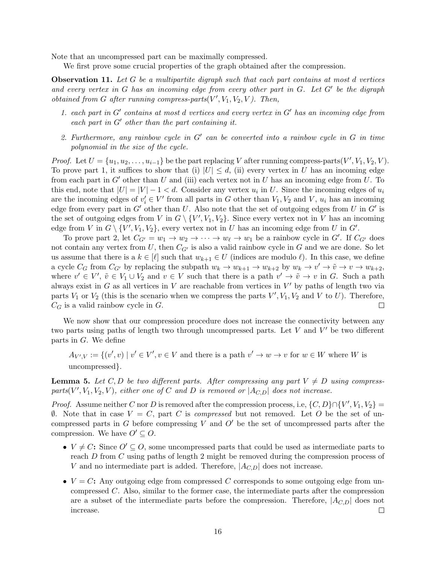Note that an uncompressed part can be maximally compressed.

We first prove some crucial properties of the graph obtained after the compression.

<span id="page-15-0"></span>**Observation 11.** Let G be a multipartite digraph such that each part contains at most d vertices and every vertex in  $G$  has an incoming edge from every other part in  $G$ . Let  $G'$  be the digraph obtained from G after running compress-parts $(V', V_1, V_2, V)$ . Then,

- 1. each part in  $G'$  contains at most d vertices and every vertex in  $G'$  has an incoming edge from each part in  $G'$  other than the part containing it.
- 2. Furthermore, any rainbow cycle in  $G'$  can be converted into a rainbow cycle in  $G$  in time polynomial in the size of the cycle.

*Proof.* Let  $U = \{u_1, u_2, \ldots, u_{i-1}\}$  be the part replacing V after running compress-parts(V', V<sub>1</sub>, V<sub>2</sub>, V). To prove part 1, it suffices to show that (i)  $|U| \leq d$ , (ii) every vertex in U has an incoming edge from each part in  $G'$  other than U and (iii) each vertex not in U has an incoming edge from U. To this end, note that  $|U| = |V| - 1 < d$ . Consider any vertex  $u_i$  in U. Since the incoming edges of  $u_i$ are the incoming edges of  $v'_i \in V'$  from all parts in G other than  $V_1, V_2$  and V,  $u_i$  has an incoming edge from every part in  $G'$  other than U. Also note that the set of outgoing edges from U in  $G'$  is the set of outgoing edges from V in  $G \setminus \{V', V_1, V_2\}$ . Since every vertex not in V has an incoming edge from V in  $G \setminus \{V', V_1, V_2\}$ , every vertex not in U has an incoming edge from U in  $G'$ .

To prove part 2, let  $C_{G'} = w_1 \rightarrow w_2 \rightarrow \cdots \rightarrow w_{\ell} \rightarrow w_1$  be a rainbow cycle in G'. If  $C_{G'}$  does not contain any vertex from U, then  $C_{G'}$  is also a valid rainbow cycle in G and we are done. So let us assume that there is a  $k \in [\ell]$  such that  $w_{k+1} \in U$  (indices are modulo  $\ell$ ). In this case, we define a cycle  $C_G$  from  $C_{G'}$  by replacing the subpath  $w_k \to w_{k+1} \to w_{k+2}$  by  $w_k \to v' \to \tilde{v} \to v \to w_{k+2}$ , where  $v' \in V'$ ,  $\tilde{v} \in V_1 \cup V_2$  and  $v \in V$  such that there is a path  $v' \to \tilde{v} \to v$  in G. Such a path always exist in G as all vertices in V are reachable from vertices in  $V'$  by paths of length two via parts  $V_1$  or  $V_2$  (this is the scenario when we compress the parts  $V', V_1, V_2$  and V to U). Therefore,  $C_G$  is a valid rainbow cycle in  $G$ .  $\Box$ 

We now show that our compression procedure does not increase the connectivity between any two parts using paths of length two through uncompressed parts. Let  $V$  and  $V'$  be two different parts in G. We define

 $A_{V',V} := \{(v',v) \mid v' \in V', v \in V \text{ and there is a path } v' \to w \to v \text{ for } w \in W \text{ where } W \text{ is }$ uncompressed}.

<span id="page-15-1"></span>**Lemma 5.** Let C, D be two different parts. After compressing any part  $V \neq D$  using compressparts(V',  $V_1, V_2, V$ ), either one of C and D is removed or  $|A_{C,D}|$  does not increase.

*Proof.* Assume neither C nor D is removed after the compression process, i.e,  $\{C, D\} \cap \{V', V_1, V_2\} =$  $\emptyset$ . Note that in case  $V = C$ , part C is *compressed* but not removed. Let O be the set of uncompressed parts in G before compressing V and  $O'$  be the set of uncompressed parts after the compression. We have  $O' \subseteq O$ .

- $V \neq C$ : Since  $O' \subseteq O$ , some uncompressed parts that could be used as intermediate parts to reach D from C using paths of length 2 might be removed during the compression process of V and no intermediate part is added. Therefore,  $|A_{C,D}|$  does not increase.
- $V = C$ : Any outgoing edge from compressed C corresponds to some outgoing edge from uncompressed C. Also, similar to the former case, the intermediate parts after the compression are a subset of the intermediate parts before the compression. Therefore,  $|A_{C,D}|$  does not increase.  $\Box$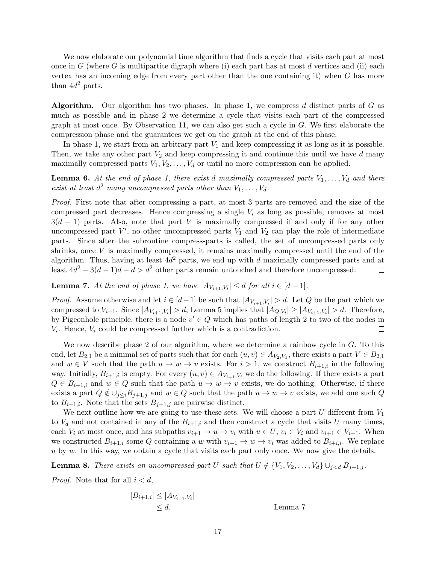We now elaborate our polynomial time algorithm that finds a cycle that visits each part at most once in  $G$  (where  $G$  is multipartite digraph where (i) each part has at most  $d$  vertices and (ii) each vertex has an incoming edge from every part other than the one containing it) when G has more than  $4d^2$  parts.

**Algorithm.** Our algorithm has two phases. In phase 1, we compress d distinct parts of G as much as possible and in phase 2 we determine a cycle that visits each part of the compressed graph at most once. By Observation [11,](#page-15-0) we can also get such a cycle in  $G$ . We first elaborate the compression phase and the guarantees we get on the graph at the end of this phase.

In phase 1, we start from an arbitrary part  $V_1$  and keep compressing it as long as it is possible. Then, we take any other part  $V_2$  and keep compressing it and continue this until we have d many maximally compressed parts  $V_1, V_2, \ldots, V_d$  or until no more compression can be applied.

<span id="page-16-1"></span>**Lemma 6.** At the end of phase 1, there exist d maximally compressed parts  $V_1, \ldots, V_d$  and there exist at least  $d^2$  many uncompressed parts other than  $V_1, \ldots, V_d$ .

Proof. First note that after compressing a part, at most 3 parts are removed and the size of the compressed part decreases. Hence compressing a single  $V_i$  as long as possible, removes at most  $3(d-1)$  parts. Also, note that part V is maximally compressed if and only if for any other uncompressed part  $V'$ , no other uncompressed parts  $V_1$  and  $V_2$  can play the role of intermediate parts. Since after the subroutine compress-parts is called, the set of uncompressed parts only shrinks, once V is maximally compressed, it remains maximally compressed until the end of the algorithm. Thus, having at least  $4d^2$  parts, we end up with d maximally compressed parts and at least  $4d^2 - 3(d-1)d - d > d^2$  other parts remain untouched and therefore uncompressed.  $\Box$ 

<span id="page-16-0"></span>**Lemma 7.** At the end of phase 1, we have  $|A_{V_{i+1},V_i}| \le d$  for all  $i \in [d-1]$ .

*Proof.* Assume otherwise and let  $i \in [d-1]$  be such that  $|A_{V_{i+1}, V_i}| > d$ . Let Q be the part which we compressed to  $V_{i+1}$ . Since  $|A_{V_{i+1}, V_i}| > d$ , Lemma [5](#page-15-1) implies that  $|A_{Q, V_i}| \geq |A_{V_{i+1}, V_i}| > d$ . Therefore, by Pigeonhole principle, there is a node  $v' \in Q$  which has paths of length 2 to two of the nodes in  $V_i$ . Hence,  $V_i$  could be compressed further which is a contradiction.  $\Box$ 

We now describe phase 2 of our algorithm, where we determine a rainbow cycle in  $G$ . To this end, let  $B_{2,1}$  be a minimal set of parts such that for each  $(u, v) \in A_{V_2, V_1}$ , there exists a part  $V \in B_{2,1}$ and  $w \in V$  such that the path  $u \to w \to v$  exists. For  $i > 1$ , we construct  $B_{i+1,i}$  in the following way. Initially,  $B_{i+1,i}$  is empty. For every  $(u, v) \in A_{V_{i+1}, V_i}$  we do the following. If there exists a part  $Q \in B_{i+1,i}$  and  $w \in Q$  such that the path  $u \to w \to v$  exists, we do nothing. Otherwise, if there exists a part  $Q \notin \bigcup_{j \leq i} B_{j+1,j}$  and  $w \in Q$  such that the path  $u \to w \to v$  exists, we add one such Q to  $B_{i+1,i}$ . Note that the sets  $B_{i+1,j}$  are pairwise distinct.

We next outline how we are going to use these sets. We will choose a part U different from  $V_1$ to  $V_d$  and not contained in any of the  $B_{i+1,i}$  and then construct a cycle that visits U many times, each  $V_i$  at most once, and has subpaths  $v_{i+1} \to u \to v_i$  with  $u \in U$ ,  $v_i \in V_i$  and  $v_{i+1} \in V_{i+1}$ . When we constructed  $B_{i+1,i}$  some Q containing a w with  $v_{i+1} \to w \to v_i$  was added to  $B_{i+i,i}$ . We replace  $u$  by  $w$ . In this way, we obtain a cycle that visits each part only once. We now give the details.

<span id="page-16-2"></span>**Lemma 8.** There exists an uncompressed part U such that  $U \notin \{V_1, V_2, \ldots, V_d\} \cup_{i < d} B_{i+1,i}$ .

*Proof.* Note that for all  $i < d$ ,

$$
|B_{i+1,i}| \le |A_{V_{i+1},V_i}|
$$
  
\n $\le d.$  Lemma 7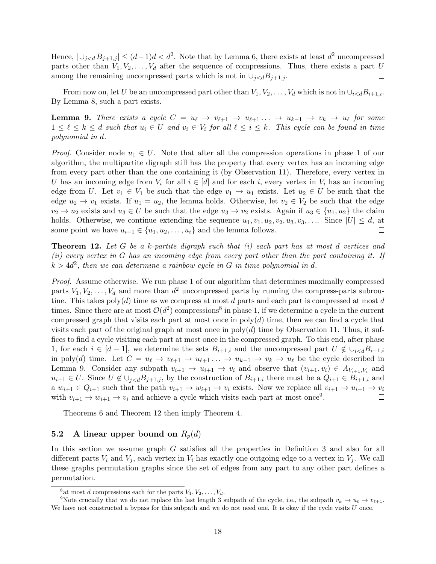Hence,  $|\bigcup_{j. Note that by Lemma [6,](#page-16-1) there exists at least  $d^2$  uncompressed$ parts other than  $V_1, V_2, \ldots, V_d$  after the sequence of compressions. Thus, there exists a part U  $\Box$ among the remaining uncompressed parts which is not in  $\cup_{j < d} B_{j+1,j}$ .

From now on, let U be an uncompressed part other than  $V_1, V_2, \ldots, V_d$  which is not in  $\cup_{i < d} B_{i+1,i}$ . By Lemma [8,](#page-16-2) such a part exists.

<span id="page-17-2"></span>**Lemma 9.** There exists a cycle  $C = u_{\ell} \to v_{\ell+1} \to u_{\ell+1} \ldots \to u_{k-1} \to v_k \to u_{\ell}$  for some  $1 \leq \ell \leq k \leq d$  such that  $u_i \in U$  and  $v_i \in V_i$  for all  $\ell \leq i \leq k$ . This cycle can be found in time polynomial in d.

*Proof.* Consider node  $u_1 \in U$ . Note that after all the compression operations in phase 1 of our algorithm, the multipartite digraph still has the property that every vertex has an incoming edge from every part other than the one containing it (by Observation [11\)](#page-15-0). Therefore, every vertex in U has an incoming edge from  $V_i$  for all  $i \in [d]$  and for each i, every vertex in  $V_i$  has an incoming edge from U. Let  $v_1 \in V_1$  be such that the edge  $v_1 \to u_1$  exists. Let  $u_2 \in U$  be such that the edge  $u_2 \to v_1$  exists. If  $u_1 = u_2$ , the lemma holds. Otherwise, let  $v_2 \in V_2$  be such that the edge  $v_2 \to u_2$  exists and  $u_3 \in U$  be such that the edge  $u_3 \to v_2$  exists. Again if  $u_3 \in \{u_1, u_2\}$  the claim holds. Otherwise, we continue extending the sequence  $u_1, v_1, u_2, v_2, u_3, v_3, \ldots$  Since  $|U| \leq d$ , at some point we have  $u_{i+1} \in \{u_1, u_2, \ldots, u_i\}$  and the lemma follows.  $\Box$ 

<span id="page-17-4"></span>**Theorem 12.** Let G be a k-partite digraph such that  $(i)$  each part has at most d vertices and (ii) every vertex in G has an incoming edge from every part other than the part containing it. If  $k > 4d^2$ , then we can determine a rainbow cycle in G in time polynomial in d.

Proof. Assume otherwise. We run phase 1 of our algorithm that determines maximally compressed parts  $V_1, V_2, \ldots, V_d$  and more than  $d^2$  uncompressed parts by running the compress-parts subroutine. This takes  $poly(d)$  time as we compress at most d parts and each part is compressed at most d times. Since there are at most  $\mathcal{O}(d^2)$  compressions<sup>[8](#page-17-1)</sup> in phase 1, if we determine a cycle in the current compressed graph that visits each part at most once in  $poly(d)$  time, then we can find a cycle that visits each part of the original graph at most once in  $poly(d)$  time by Observation [11.](#page-15-0) Thus, it suffices to find a cycle visiting each part at most once in the compressed graph. To this end, after phase 1, for each  $i \in [d-1]$ , we determine the sets  $B_{i+1,i}$  and the uncompressed part  $U \notin \bigcup_{i \leq d} B_{i+1,i}$ in poly(d) time. Let  $C = u_{\ell} \to v_{\ell+1} \to u_{\ell+1} \ldots \to u_{k-1} \to v_k \to u_{\ell}$  be the cycle described in Lemma [9.](#page-17-2) Consider any subpath  $v_{i+1} \to u_{i+1} \to v_i$  and observe that  $(v_{i+1}, v_i) \in A_{V_{i+1}, V_i}$  and  $u_{i+1} \in U$ . Since  $U \notin \bigcup_{j < d} B_{j+1,j}$ , by the construction of  $B_{i+1,i}$  there must be a  $Q_{i+1} \in B_{i+1,i}$  and a  $w_{i+1} \in Q_{i+1}$  such that the path  $v_{i+1} \to w_{i+1} \to v_i$  exists. Now we replace all  $v_{i+1} \to u_{i+1} \to v_i$ with  $v_{i+1} \to w_{i+1} \to v_i$  and achieve a cycle which visits each part at most once<sup>[9](#page-17-3)</sup>.  $\Box$ 

Theorems [6](#page-7-1) and Theorem [12](#page-17-4) then imply Theorem [4.](#page-3-0)

### <span id="page-17-0"></span>5.2 A linear upper bound on  $R_p(d)$

In this section we assume graph G satisfies all the properties in Definition [3](#page-6-4) and also for all different parts  $V_i$  and  $V_j$ , each vertex in  $V_i$  has exactly one outgoing edge to a vertex in  $V_j$ . We call these graphs permutation graphs since the set of edges from any part to any other part defines a permutation.

<span id="page-17-3"></span><span id="page-17-1"></span><sup>&</sup>lt;sup>8</sup> at most d compressions each for the parts  $V_1, V_2, \ldots, V_d$ .

<sup>&</sup>lt;sup>9</sup>Note crucially that we do not replace the last length 3 subpath of the cycle, i.e., the subpath  $v_k \to u_\ell \to v_{\ell+1}$ . We have not constructed a bypass for this subpath and we do not need one. It is okay if the cycle visits  $U$  once.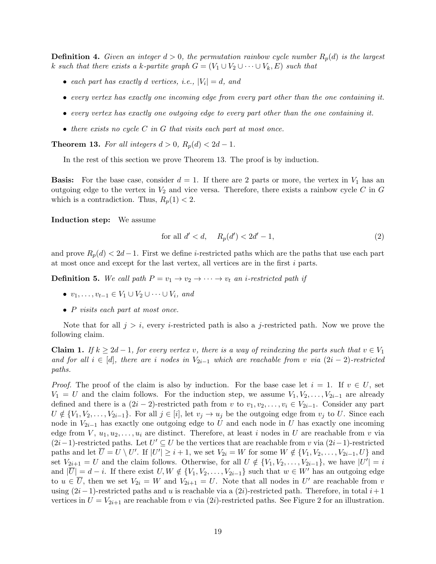<span id="page-18-2"></span>**Definition 4.** Given an integer  $d > 0$ , the permutation rainbow cycle number  $R_p(d)$  is the largest k such that there exists a k-partite graph  $G = (V_1 \cup V_2 \cup \cdots \cup V_k, E)$  such that

- each part has exactly d vertices, i.e.,  $|V_i| = d$ , and
- every vertex has exactly one incoming edge from every part other than the one containing it.
- every vertex has exactly one outgoing edge to every part other than the one containing it.
- $\bullet$  there exists no cycle C in G that visits each part at most once.

<span id="page-18-0"></span>**Theorem 13.** For all integers  $d > 0$ ,  $R_p(d) < 2d - 1$ .

In the rest of this section we prove Theorem [13.](#page-18-0) The proof is by induction.

**Basis:** For the base case, consider  $d = 1$ . If there are 2 parts or more, the vertex in  $V_1$  has an outgoing edge to the vertex in  $V_2$  and vice versa. Therefore, there exists a rainbow cycle C in G which is a contradiction. Thus,  $R_p(1) < 2$ .

Induction step: We assume

<span id="page-18-1"></span>for all 
$$
d' < d
$$
,  $R_p(d') < 2d' - 1$ ,  $(2)$ 

and prove  $R_p(d) < 2d-1$ . First we define i-restricted paths which are the paths that use each part at most once and except for the last vertex, all vertices are in the first  $i$  parts.

**Definition 5.** We call path  $P = v_1 \rightarrow v_2 \rightarrow \cdots \rightarrow v_t$  an *i*-restricted path if

- $v_1, \ldots, v_{t-1} \in V_1 \cup V_2 \cup \cdots \cup V_i$ , and
- P visits each part at most once.

Note that for all  $j > i$ , every *i*-restricted path is also a *j*-restricted path. Now we prove the following claim.

<span id="page-18-3"></span>**Claim 1.** If  $k \geq 2d-1$ , for every vertex v, there is a way of reindexing the parts such that  $v \in V_1$ and for all  $i \in [d]$ , there are i nodes in  $V_{2i-1}$  which are reachable from v via  $(2i-2)$ -restricted paths.

*Proof.* The proof of the claim is also by induction. For the base case let  $i = 1$ . If  $v \in U$ , set  $V_1 = U$  and the claim follows. For the induction step, we assume  $V_1, V_2, \ldots, V_{2i-1}$  are already defined and there is a  $(2i-2)$ -restricted path from v to  $v_1, v_2, \ldots, v_i \in V_{2i-1}$ . Consider any part  $U \notin \{V_1, V_2, \ldots, V_{2i-1}\}.$  For all  $j \in [i]$ , let  $v_j \to u_j$  be the outgoing edge from  $v_j$  to U. Since each node in  $V_{2i-1}$  has exactly one outgoing edge to U and each node in U has exactly one incoming edge from  $V, u_1, u_2, \ldots, u_i$  are distinct. Therefore, at least i nodes in U are reachable from v via  $(2i-1)$ -restricted paths. Let  $U' \subseteq U$  be the vertices that are reachable from v via  $(2i-1)$ -restricted paths and let  $\overline{U} = U \setminus U'$ . If  $|U'| \geq i + 1$ , we set  $V_{2i} = W$  for some  $W \notin \{V_1, V_2, \ldots, V_{2i-1}, U\}$  and set  $V_{2i+1} = U$  and the claim follows. Otherwise, for all  $U \notin \{V_1, V_2, \ldots, V_{2i-1}\}$ , we have  $|U'| = i$ and  $|\overline{U}| = d - i$ . If there exist  $U, W \notin \{V_1, V_2, \ldots, V_{2i-1}\}\$  such that  $w \in W'$  has an outgoing edge to  $u \in \overline{U}$ , then we set  $V_{2i} = W$  and  $V_{2i+1} = U$ . Note that all nodes in U' are reachable from v using  $(2i-1)$ -restricted paths and u is reachable via a  $(2i)$ -restricted path. Therefore, in total  $i+1$ vertices in  $U = V_{2i+1}$  $U = V_{2i+1}$  $U = V_{2i+1}$  are reachable from v via  $(2i)$ -restricted paths. See Figure 2 for an illustration.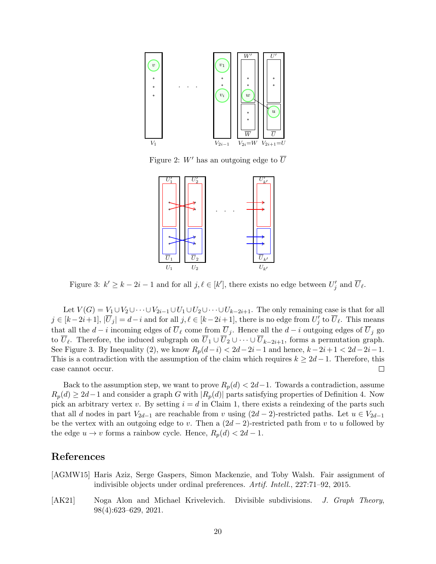<span id="page-19-3"></span>

<span id="page-19-2"></span>Figure 2: W' has an outgoing edge to  $\overline{U}$ 



Figure 3:  $k' \geq k - 2i - 1$  and for all  $j, \ell \in [k']$ , there exists no edge between  $U'_j$  and  $\overline{U}_{\ell}$ .

Let  $V(G) = V_1 \cup V_2 \cup \cdots \cup V_{2i-1} \cup U_1 \cup U_2 \cup \cdots \cup U_{k-2i+1}$ . The only remaining case is that for all  $j \in [k-2i+1], |\overline{U}_j| = d-i$  and for all  $j, \ell \in [k-2i+1]$ , there is no edge from  $U'_j$  to  $\overline{U}_\ell$ . This means that all the  $d - i$  incoming edges of  $\overline{U}_\ell$  come from  $\overline{U}_j$ . Hence all the  $d - i$  outgoing edges of  $\overline{U}_j$  go to  $U_{\ell}$ . Therefore, the induced subgraph on  $U_1 \cup U_2 \cup \cdots \cup U_{k-2i+1}$ , forms a permutation graph. See Figure [3.](#page-19-2) By Inequality [\(2\)](#page-18-1), we know  $R_p(d-i) < 2d-2i-1$  and hence,  $k-2i+1 < 2d-2i-1$ . This is a contradiction with the assumption of the claim which requires  $k \geq 2d-1$ . Therefore, this case cannot occur.  $\Box$ 

Back to the assumption step, we want to prove  $R_p(d) < 2d-1$ . Towards a contradiction, assume  $R_p(d) \geq 2d-1$  and consider a graph G with  $|R_p(d)|$  parts satisfying properties of Definition [4.](#page-18-2) Now pick an arbitrary vertex v. By setting  $i = d$  in Claim [1,](#page-18-3) there exists a reindexing of the parts such that all d nodes in part  $V_{2d-1}$  are reachable from v using  $(2d-2)$ -restricted paths. Let  $u \in V_{2d-1}$ be the vertex with an outgoing edge to v. Then a  $(2d-2)$ -restricted path from v to u followed by the edge  $u \to v$  forms a rainbow cycle. Hence,  $R_p(d) < 2d - 1$ .

### References

- <span id="page-19-1"></span>[AGMW15] Haris Aziz, Serge Gaspers, Simon Mackenzie, and Toby Walsh. Fair assignment of indivisible objects under ordinal preferences. Artif. Intell., 227:71–92, 2015.
- <span id="page-19-0"></span>[AK21] Noga Alon and Michael Krivelevich. Divisible subdivisions. J. Graph Theory, 98(4):623–629, 2021.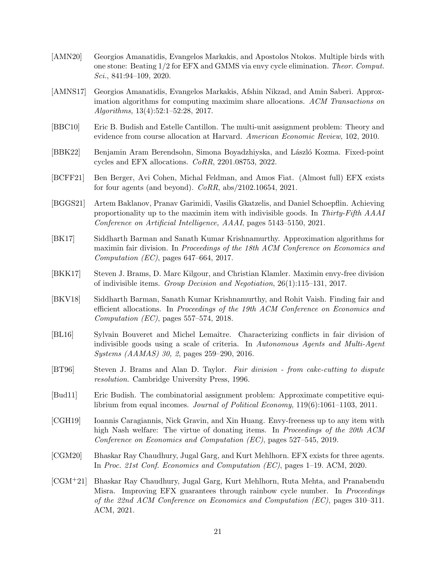- <span id="page-20-6"></span>[AMN20] Georgios Amanatidis, Evangelos Markakis, and Apostolos Ntokos. Multiple birds with one stone: Beating 1/2 for EFX and GMMS via envy cycle elimination. Theor. Comput.  $Sci., 841:94-109, 2020.$
- <span id="page-20-10"></span>[AMNS17] Georgios Amanatidis, Evangelos Markakis, Afshin Nikzad, and Amin Saberi. Approximation algorithms for computing maximim share allocations. ACM Transactions on Algorithms, 13(4):52:1–52:28, 2017.
- <span id="page-20-4"></span>[BBC10] Eric B. Budish and Estelle Cantillon. The multi-unit assignment problem: Theory and evidence from course allocation at Harvard. American Economic Review, 102, 2010.
- <span id="page-20-7"></span>[BBK22] Benjamin Aram Berendsohn, Simona Boyadzhiyska, and László Kozma. Fixed-point cycles and EFX allocations. CoRR, 2201.08753, 2022.
- <span id="page-20-2"></span>[BCFF21] Ben Berger, Avi Cohen, Michal Feldman, and Amos Fiat. (Almost full) EFX exists for four agents (and beyond).  $CoRR$ ,  $abs/2102.10654$ ,  $2021$ .
- <span id="page-20-12"></span>[BGGS21] Artem Baklanov, Pranav Garimidi, Vasilis Gkatzelis, and Daniel Schoepflin. Achieving proportionality up to the maximin item with indivisible goods. In Thirty-Fifth AAAI Conference on Artificial Intelligence, AAAI, pages 5143–5150, 2021.
- <span id="page-20-11"></span>[BK17] Siddharth Barman and Sanath Kumar Krishnamurthy. Approximation algorithms for maximin fair division. In Proceedings of the 18th ACM Conference on Economics and Computation (EC), pages 647–664, 2017.
- <span id="page-20-13"></span>[BKK17] Steven J. Brams, D. Marc Kilgour, and Christian Klamler. Maximin envy-free division of indivisible items. Group Decision and Negotiation, 26(1):115–131, 2017.
- <span id="page-20-14"></span>[BKV18] Siddharth Barman, Sanath Kumar Krishnamurthy, and Rohit Vaish. Finding fair and efficient allocations. In Proceedings of the 19th ACM Conference on Economics and Computation (EC), pages 557–574, 2018.
- <span id="page-20-9"></span>[BL16] Sylvain Bouveret and Michel Lemaître. Characterizing conflicts in fair division of indivisible goods using a scale of criteria. In Autonomous Agents and Multi-Agent Systems (AAMAS) 30, 2, pages 259–290, 2016.
- <span id="page-20-3"></span>[BT96] Steven J. Brams and Alan D. Taylor. Fair division - from cake-cutting to dispute resolution. Cambridge University Press, 1996.
- <span id="page-20-8"></span>[Bud11] Eric Budish. The combinatorial assignment problem: Approximate competitive equilibrium from equal incomes. Journal of Political Economy, 119(6):1061–1103, 2011.
- <span id="page-20-5"></span>[CGH19] Ioannis Caragiannis, Nick Gravin, and Xin Huang. Envy-freeness up to any item with high Nash welfare: The virtue of donating items. In Proceedings of the 20th ACM Conference on Economics and Computation (EC), pages 527–545, 2019.
- <span id="page-20-0"></span>[CGM20] Bhaskar Ray Chaudhury, Jugal Garg, and Kurt Mehlhorn. EFX exists for three agents. In Proc. 21st Conf. Economics and Computation (EC), pages 1–19. ACM, 2020.
- <span id="page-20-1"></span>[CGM+21] Bhaskar Ray Chaudhury, Jugal Garg, Kurt Mehlhorn, Ruta Mehta, and Pranabendu Misra. Improving EFX guarantees through rainbow cycle number. In *Proceedings* of the 22nd ACM Conference on Economics and Computation (EC), pages 310–311. ACM, 2021.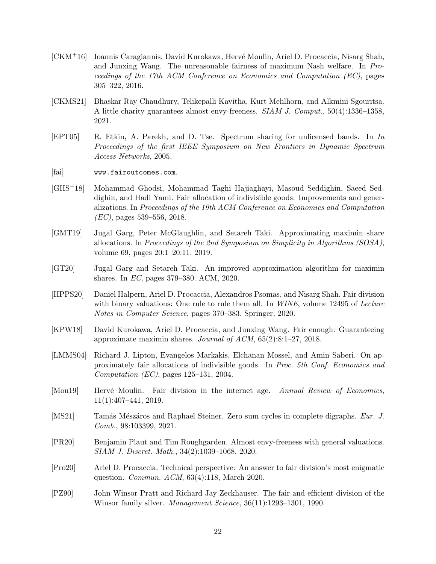- <span id="page-21-5"></span>[CKM+16] Ioannis Caragiannis, David Kurokawa, Hervé Moulin, Ariel D. Procaccia, Nisarg Shah, and Junxing Wang. The unreasonable fairness of maximum Nash welfare. In Proceedings of the 17th ACM Conference on Economics and Computation (EC), pages 305–322, 2016.
- <span id="page-21-0"></span>[CKMS21] Bhaskar Ray Chaudhury, Telikepalli Kavitha, Kurt Mehlhorn, and Alkmini Sgouritsa. A little charity guarantees almost envy-freeness. SIAM J. Comput., 50(4):1336–1358, 2021.
- <span id="page-21-3"></span>[EPT05] R. Etkin, A. Parekh, and D. Tse. Spectrum sharing for unlicensed bands. In In Proceedings of the first IEEE Symposium on New Frontiers in Dynamic Spectrum Access Networks, 2005.
- <span id="page-21-9"></span>[fai] <www.fairoutcomes.com>.
- <span id="page-21-12"></span>[GHS+18] Mohammad Ghodsi, Mohammad Taghi Hajiaghayi, Masoud Seddighin, Saeed Seddighin, and Hadi Yami. Fair allocation of indivisible goods: Improvements and generalizations. In Proceedings of the 19th  $ACM$  Conference on Economics and Computation  $(EC)$ , pages 539–556, 2018.
- <span id="page-21-13"></span>[GMT19] Jugal Garg, Peter McGlaughlin, and Setareh Taki. Approximating maximin share allocations. In Proceedings of the 2nd Symposium on Simplicity in Algorithms  $(SOSA)$ , volume 69, pages 20:1–20:11, 2019.
- <span id="page-21-14"></span>[GT20] Jugal Garg and Setareh Taki. An improved approximation algorithm for maximin shares. In EC, pages 379–380. ACM, 2020.
- <span id="page-21-8"></span>[HPPS20] Daniel Halpern, Ariel D. Procaccia, Alexandros Psomas, and Nisarg Shah. Fair division with binary valuations: One rule to rule them all. In  $WINE$ , volume 12495 of Lecture Notes in Computer Science, pages 370–383. Springer, 2020.
- <span id="page-21-11"></span>[KPW18] David Kurokawa, Ariel D. Procaccia, and Junxing Wang. Fair enough: Guaranteeing approximate maximin shares. Journal of ACM, 65(2):8:1–27, 2018.
- <span id="page-21-10"></span>[LMMS04] Richard J. Lipton, Evangelos Markakis, Elchanan Mossel, and Amin Saberi. On approximately fair allocations of indivisible goods. In Proc. 5th Conf. Economics and Computation  $(EC)$ , pages 125–131, 2004.
- <span id="page-21-4"></span>[Mou19] Hervé Moulin. Fair division in the internet age. Annual Review of Economics, 11(1):407–441, 2019.
- <span id="page-21-1"></span>[MS21] Tamás Mészáros and Raphael Steiner. Zero sum cycles in complete digraphs. Eur. J. Comb., 98:103399, 2021.
- <span id="page-21-7"></span>[PR20] Benjamin Plaut and Tim Roughgarden. Almost envy-freeness with general valuations. SIAM J. Discret. Math., 34(2):1039–1068, 2020.
- <span id="page-21-6"></span>[Pro20] Ariel D. Procaccia. Technical perspective: An answer to fair division's most enigmatic question. Commun. ACM, 63(4):118, March 2020.
- <span id="page-21-2"></span>[PZ90] John Winsor Pratt and Richard Jay Zeckhauser. The fair and efficient division of the Winsor family silver. Management Science, 36(11):1293–1301, 1990.